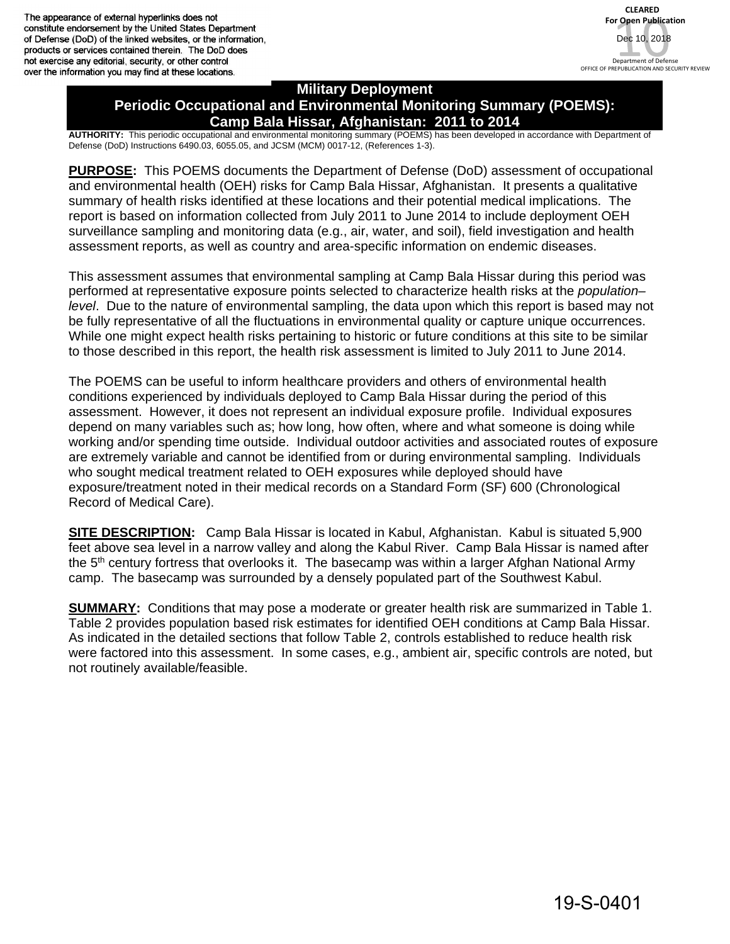The appearance of external hyperlinks does not constitute endorsement by the United States Department of Defense (DoD) of the linked websites, or the information, products or services contained therein. The DoD does not exercise any editorial, security, or other control over the information you may find at these locations.



## **Military Deployment Periodic Occupational and Environmental Monitoring Summary (POEMS): Camp Bala Hissar, Afghanistan: 2011 to 2014**

**AUTHORITY:** This periodic occupational and environmental monitoring summary (POEMS) has been developed in accordance with Department of Defense (DoD) Instructions 6490.03, 6055.05, and JCSM (MCM) 0017-12, (References 1-3).

**PURPOSE:** This POEMS documents the Department of Defense (DoD) assessment of occupational and environmental health (OEH) risks for Camp Bala Hissar, Afghanistan. It presents a qualitative summary of health risks identified at these locations and their potential medical implications. The report is based on information collected from July 2011 to June 2014 to include deployment OEH surveillance sampling and monitoring data (e.g., air, water, and soil), field investigation and health assessment reports, as well as country and area-specific information on endemic diseases.

This assessment assumes that environmental sampling at Camp Bala Hissar during this period was performed at representative exposure points selected to characterize health risks at the *population– level*. Due to the nature of environmental sampling, the data upon which this report is based may not be fully representative of all the fluctuations in environmental quality or capture unique occurrences. While one might expect health risks pertaining to historic or future conditions at this site to be similar to those described in this report, the health risk assessment is limited to July 2011 to June 2014.

The POEMS can be useful to inform healthcare providers and others of environmental health conditions experienced by individuals deployed to Camp Bala Hissar during the period of this assessment. However, it does not represent an individual exposure profile. Individual exposures depend on many variables such as; how long, how often, where and what someone is doing while working and/or spending time outside. Individual outdoor activities and associated routes of exposure are extremely variable and cannot be identified from or during environmental sampling. Individuals who sought medical treatment related to OEH exposures while deployed should have exposure/treatment noted in their medical records on a Standard Form (SF) 600 (Chronological Record of Medical Care).

**SITE DESCRIPTION:** Camp Bala Hissar is located in Kabul, Afghanistan.Kabul is situated 5,900 feet above sea level in a narrow valley and along the Kabul River. Camp Bala Hissar is named after the  $5<sup>th</sup>$  century fortress that overlooks it. The basecamp was within a larger Afghan National Army camp. The basecamp was surrounded by a densely populated part of the Southwest Kabul.

**SUMMARY:** Conditions that may pose a moderate or greater health risk are summarized in Table 1. Table 2 provides population based risk estimates for identified OEH conditions at Camp Bala Hissar. As indicated in the detailed sections that follow Table 2, controls established to reduce health risk were factored into this assessment. In some cases, e.g., ambient air, specific controls are noted, but not routinely available/feasible.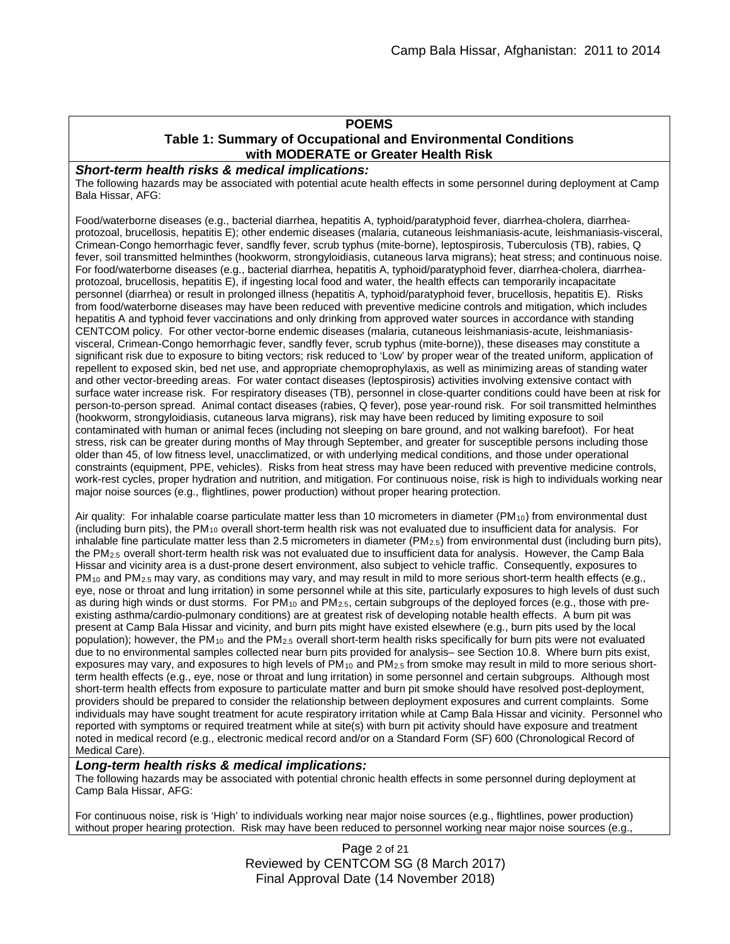### **POEMS**

#### **Table 1: Summary of Occupational and Environmental Conditions with MODERATE or Greater Health Risk**

#### *Short-term health risks & medical implications:*

The following hazards may be associated with potential acute health effects in some personnel during deployment at Camp Bala Hissar, AFG:

Food/waterborne diseases (e.g., bacterial diarrhea, hepatitis A, typhoid/paratyphoid fever, diarrhea-cholera, diarrheaprotozoal, brucellosis, hepatitis E); other endemic diseases (malaria, cutaneous leishmaniasis-acute, leishmaniasis-visceral, Crimean-Congo hemorrhagic fever, sandfly fever, scrub typhus (mite-borne), leptospirosis, Tuberculosis (TB), rabies, Q fever, soil transmitted helminthes (hookworm, strongyloidiasis, cutaneous larva migrans); heat stress; and continuous noise. For food/waterborne diseases (e.g., bacterial diarrhea, hepatitis A, typhoid/paratyphoid fever, diarrhea-cholera, diarrheaprotozoal, brucellosis, hepatitis E), if ingesting local food and water, the health effects can temporarily incapacitate personnel (diarrhea) or result in prolonged illness (hepatitis A, typhoid/paratyphoid fever, brucellosis, hepatitis E). Risks from food/waterborne diseases may have been reduced with preventive medicine controls and mitigation, which includes hepatitis A and typhoid fever vaccinations and only drinking from approved water sources in accordance with standing CENTCOM policy. For other vector-borne endemic diseases (malaria, cutaneous leishmaniasis-acute, leishmaniasisvisceral, Crimean-Congo hemorrhagic fever, sandfly fever, scrub typhus (mite-borne)), these diseases may constitute a significant risk due to exposure to biting vectors; risk reduced to 'Low' by proper wear of the treated uniform, application of repellent to exposed skin, bed net use, and appropriate chemoprophylaxis, as well as minimizing areas of standing water and other vector-breeding areas. For water contact diseases (leptospirosis) activities involving extensive contact with surface water increase risk. For respiratory diseases (TB), personnel in close-quarter conditions could have been at risk for person-to-person spread. Animal contact diseases (rabies, Q fever), pose year-round risk. For soil transmitted helminthes (hookworm, strongyloidiasis, cutaneous larva migrans), risk may have been reduced by limiting exposure to soil contaminated with human or animal feces (including not sleeping on bare ground, and not walking barefoot). For heat stress, risk can be greater during months of May through September, and greater for susceptible persons including those older than 45, of low fitness level, unacclimatized, or with underlying medical conditions, and those under operational constraints (equipment, PPE, vehicles). Risks from heat stress may have been reduced with preventive medicine controls, work-rest cycles, proper hydration and nutrition, and mitigation. For continuous noise, risk is high to individuals working near major noise sources (e.g., flightlines, power production) without proper hearing protection.

Air quality: For inhalable coarse particulate matter less than 10 micrometers in diameter (PM<sub>10</sub>) from environmental dust (including burn pits), the PM10 overall short-term health risk was not evaluated due to insufficient data for analysis. For inhalable fine particulate matter less than 2.5 micrometers in diameter ( $PM_{2.5}$ ) from environmental dust (including burn pits), the PM<sub>2.5</sub> overall short-term health risk was not evaluated due to insufficient data for analysis. However, the Camp Bala Hissar and vicinity area is a dust-prone desert environment, also subject to vehicle traffic. Consequently, exposures to PM<sub>10</sub> and PM<sub>2.5</sub> may vary, as conditions may vary, and may result in mild to more serious short-term health effects (e.g., eye, nose or throat and lung irritation) in some personnel while at this site, particularly exposures to high levels of dust such as during high winds or dust storms. For PM<sub>10</sub> and PM<sub>2.5</sub>, certain subgroups of the deployed forces (e.g., those with preexisting asthma/cardio-pulmonary conditions) are at greatest risk of developing notable health effects. A burn pit was present at Camp Bala Hissar and vicinity, and burn pits might have existed elsewhere (e.g., burn pits used by the local population); however, the PM10 and the PM2.5 overall short-term health risks specifically for burn pits were not evaluated due to no environmental samples collected near burn pits provided for analysis– see Section 10.8. Where burn pits exist, exposures may vary, and exposures to high levels of  $PM_{10}$  and  $PM_{2.5}$  from smoke may result in mild to more serious shortterm health effects (e.g., eye, nose or throat and lung irritation) in some personnel and certain subgroups. Although most short-term health effects from exposure to particulate matter and burn pit smoke should have resolved post-deployment, providers should be prepared to consider the relationship between deployment exposures and current complaints. Some individuals may have sought treatment for acute respiratory irritation while at Camp Bala Hissar and vicinity. Personnel who reported with symptoms or required treatment while at site(s) with burn pit activity should have exposure and treatment noted in medical record (e.g., electronic medical record and/or on a Standard Form (SF) 600 (Chronological Record of Medical Care).

#### *Long-term health risks & medical implications:*

The following hazards may be associated with potential chronic health effects in some personnel during deployment at Camp Bala Hissar, AFG:

For continuous noise, risk is 'High' to individuals working near major noise sources (e.g., flightlines, power production) without proper hearing protection. Risk may have been reduced to personnel working near major noise sources (e.g.,

> Page 2 of 21 Reviewed by CENTCOM SG (8 March 2017) Final Approval Date (14 November 2018)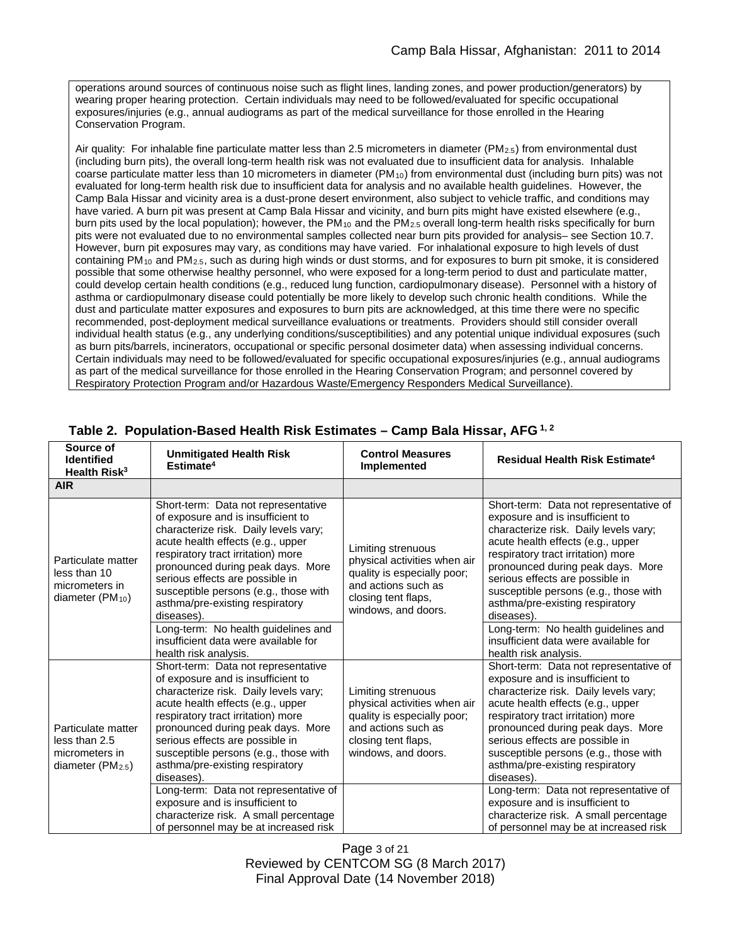operations around sources of continuous noise such as flight lines, landing zones, and power production/generators) by wearing proper hearing protection. Certain individuals may need to be followed/evaluated for specific occupational exposures/injuries (e.g., annual audiograms as part of the medical surveillance for those enrolled in the Hearing Conservation Program.

Air quality: For inhalable fine particulate matter less than 2.5 micrometers in diameter (PM2.5) from environmental dust (including burn pits), the overall long-term health risk was not evaluated due to insufficient data for analysis. Inhalable coarse particulate matter less than 10 micrometers in diameter (PM<sub>10</sub>) from environmental dust (including burn pits) was not evaluated for long-term health risk due to insufficient data for analysis and no available health guidelines. However, the Camp Bala Hissar and vicinity area is a dust-prone desert environment, also subject to vehicle traffic, and conditions may have varied. A burn pit was present at Camp Bala Hissar and vicinity, and burn pits might have existed elsewhere (e.g., burn pits used by the local population); however, the PM<sub>10</sub> and the PM<sub>2.5</sub> overall long-term health risks specifically for burn pits were not evaluated due to no environmental samples collected near burn pits provided for analysis– see Section 10.7. However, burn pit exposures may vary, as conditions may have varied. For inhalational exposure to high levels of dust containing  $PM_{10}$  and  $PM_{2.5}$ , such as during high winds or dust storms, and for exposures to burn pit smoke, it is considered possible that some otherwise healthy personnel, who were exposed for a long-term period to dust and particulate matter, could develop certain health conditions (e.g., reduced lung function, cardiopulmonary disease). Personnel with a history of asthma or cardiopulmonary disease could potentially be more likely to develop such chronic health conditions. While the dust and particulate matter exposures and exposures to burn pits are acknowledged, at this time there were no specific recommended, post-deployment medical surveillance evaluations or treatments. Providers should still consider overall individual health status (e.g., any underlying conditions/susceptibilities) and any potential unique individual exposures (such as burn pits/barrels, incinerators, occupational or specific personal dosimeter data) when assessing individual concerns. Certain individuals may need to be followed/evaluated for specific occupational exposures/injuries (e.g., annual audiograms as part of the medical surveillance for those enrolled in the Hearing Conservation Program; and personnel covered by Respiratory Protection Program and/or Hazardous Waste/Emergency Responders Medical Surveillance).

| Source of<br><b>Identified</b><br>Health Risk <sup>3</sup>                   | <b>Unmitigated Health Risk</b><br>Estimate <sup>4</sup>                                                                                                                                                                                                                                                                                                                                                                                     | <b>Control Measures</b><br>Implemented                                                                                                                 | <b>Residual Health Risk Estimate<sup>4</sup></b>                                                                                                                                                                                                                                                                                                                                                                                            |
|------------------------------------------------------------------------------|---------------------------------------------------------------------------------------------------------------------------------------------------------------------------------------------------------------------------------------------------------------------------------------------------------------------------------------------------------------------------------------------------------------------------------------------|--------------------------------------------------------------------------------------------------------------------------------------------------------|---------------------------------------------------------------------------------------------------------------------------------------------------------------------------------------------------------------------------------------------------------------------------------------------------------------------------------------------------------------------------------------------------------------------------------------------|
| <b>AIR</b>                                                                   |                                                                                                                                                                                                                                                                                                                                                                                                                                             |                                                                                                                                                        |                                                                                                                                                                                                                                                                                                                                                                                                                                             |
| Particulate matter<br>less than 10<br>micrometers in<br>diameter $(PM_{10})$ | Short-term: Data not representative<br>of exposure and is insufficient to<br>characterize risk. Daily levels vary;<br>acute health effects (e.g., upper<br>respiratory tract irritation) more<br>pronounced during peak days. More<br>serious effects are possible in<br>susceptible persons (e.g., those with<br>asthma/pre-existing respiratory<br>diseases).                                                                             | Limiting strenuous<br>physical activities when air<br>quality is especially poor;<br>and actions such as<br>closing tent flaps,<br>windows, and doors. | Short-term: Data not representative of<br>exposure and is insufficient to<br>characterize risk. Daily levels vary;<br>acute health effects (e.g., upper<br>respiratory tract irritation) more<br>pronounced during peak days. More<br>serious effects are possible in<br>susceptible persons (e.g., those with<br>asthma/pre-existing respiratory<br>diseases).                                                                             |
|                                                                              | Long-term: No health guidelines and<br>insufficient data were available for<br>health risk analysis.                                                                                                                                                                                                                                                                                                                                        |                                                                                                                                                        | Long-term: No health guidelines and<br>insufficient data were available for<br>health risk analysis.                                                                                                                                                                                                                                                                                                                                        |
| Particulate matter<br>less than 2.5<br>micrometers in<br>diameter $(PM2.5)$  | Short-term: Data not representative<br>of exposure and is insufficient to<br>characterize risk. Daily levels vary;<br>acute health effects (e.g., upper<br>respiratory tract irritation) more<br>pronounced during peak days. More<br>serious effects are possible in<br>susceptible persons (e.g., those with<br>asthma/pre-existing respiratory<br>diseases).<br>Long-term: Data not representative of<br>exposure and is insufficient to | Limiting strenuous<br>physical activities when air<br>quality is especially poor;<br>and actions such as<br>closing tent flaps.<br>windows, and doors. | Short-term: Data not representative of<br>exposure and is insufficient to<br>characterize risk. Daily levels vary;<br>acute health effects (e.g., upper<br>respiratory tract irritation) more<br>pronounced during peak days. More<br>serious effects are possible in<br>susceptible persons (e.g., those with<br>asthma/pre-existing respiratory<br>diseases).<br>Long-term: Data not representative of<br>exposure and is insufficient to |
|                                                                              | characterize risk. A small percentage<br>of personnel may be at increased risk                                                                                                                                                                                                                                                                                                                                                              |                                                                                                                                                        | characterize risk. A small percentage<br>of personnel may be at increased risk                                                                                                                                                                                                                                                                                                                                                              |

# **Table 2. Population-Based Health Risk Estimates – Camp Bala Hissar, AFG 1, 2**

Page 3 of 21 Reviewed by CENTCOM SG (8 March 2017) Final Approval Date (14 November 2018)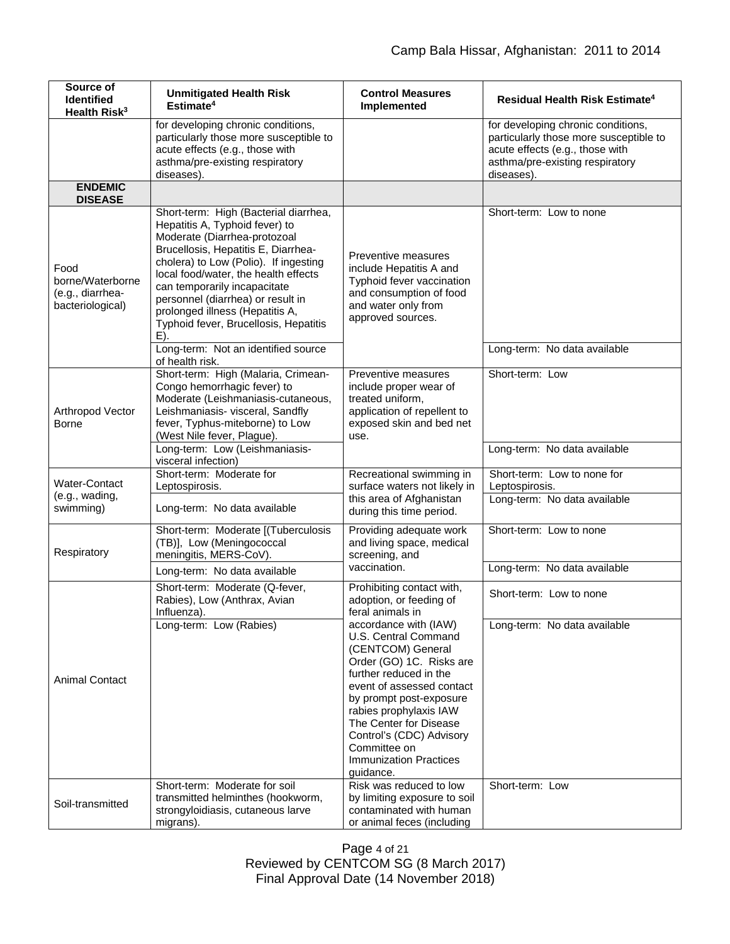| Source of<br><b>Identified</b><br>Health Risk <sup>3</sup>       | <b>Unmitigated Health Risk</b><br>Estimate <sup>4</sup>                                                                                                                                                                                                                                                                                                                                 | <b>Control Measures</b><br>Implemented                                                                                                                                                                                                                                                                                         | Residual Health Risk Estimate <sup>4</sup>                                                                                                                       |
|------------------------------------------------------------------|-----------------------------------------------------------------------------------------------------------------------------------------------------------------------------------------------------------------------------------------------------------------------------------------------------------------------------------------------------------------------------------------|--------------------------------------------------------------------------------------------------------------------------------------------------------------------------------------------------------------------------------------------------------------------------------------------------------------------------------|------------------------------------------------------------------------------------------------------------------------------------------------------------------|
|                                                                  | for developing chronic conditions,<br>particularly those more susceptible to<br>acute effects (e.g., those with<br>asthma/pre-existing respiratory<br>diseases).                                                                                                                                                                                                                        |                                                                                                                                                                                                                                                                                                                                | for developing chronic conditions,<br>particularly those more susceptible to<br>acute effects (e.g., those with<br>asthma/pre-existing respiratory<br>diseases). |
| <b>ENDEMIC</b><br><b>DISEASE</b>                                 |                                                                                                                                                                                                                                                                                                                                                                                         |                                                                                                                                                                                                                                                                                                                                |                                                                                                                                                                  |
| Food<br>borne/Waterborne<br>(e.g., diarrhea-<br>bacteriological) | Short-term: High (Bacterial diarrhea,<br>Hepatitis A, Typhoid fever) to<br>Moderate (Diarrhea-protozoal<br>Brucellosis, Hepatitis E, Diarrhea-<br>cholera) to Low (Polio). If ingesting<br>local food/water, the health effects<br>can temporarily incapacitate<br>personnel (diarrhea) or result in<br>prolonged illness (Hepatitis A,<br>Typhoid fever, Brucellosis, Hepatitis<br>E). | Preventive measures<br>include Hepatitis A and<br>Typhoid fever vaccination<br>and consumption of food<br>and water only from<br>approved sources.                                                                                                                                                                             | Short-term: Low to none                                                                                                                                          |
|                                                                  | Long-term: Not an identified source<br>of health risk.                                                                                                                                                                                                                                                                                                                                  |                                                                                                                                                                                                                                                                                                                                | Long-term: No data available                                                                                                                                     |
| Arthropod Vector<br><b>Borne</b>                                 | Short-term: High (Malaria, Crimean-<br>Congo hemorrhagic fever) to<br>Moderate (Leishmaniasis-cutaneous,<br>Leishmaniasis- visceral, Sandfly<br>fever, Typhus-miteborne) to Low<br>(West Nile fever, Plague).                                                                                                                                                                           | Preventive measures<br>include proper wear of<br>treated uniform,<br>application of repellent to<br>exposed skin and bed net<br>use.                                                                                                                                                                                           | Short-term: Low                                                                                                                                                  |
|                                                                  | Long-term: Low (Leishmaniasis-<br>visceral infection)                                                                                                                                                                                                                                                                                                                                   |                                                                                                                                                                                                                                                                                                                                | Long-term: No data available                                                                                                                                     |
| <b>Water-Contact</b><br>(e.g., wading,<br>swimming)              | Short-term: Moderate for<br>Leptospirosis.                                                                                                                                                                                                                                                                                                                                              | Recreational swimming in<br>surface waters not likely in<br>this area of Afghanistan<br>during this time period.                                                                                                                                                                                                               | Short-term: Low to none for<br>Leptospirosis.                                                                                                                    |
|                                                                  | Long-term: No data available                                                                                                                                                                                                                                                                                                                                                            |                                                                                                                                                                                                                                                                                                                                | Long-term: No data available                                                                                                                                     |
| Respiratory                                                      | Short-term: Moderate [(Tuberculosis<br>(TB)], Low (Meningococcal<br>meningitis, MERS-CoV).                                                                                                                                                                                                                                                                                              | Providing adequate work<br>and living space, medical<br>screening, and<br>vaccination.                                                                                                                                                                                                                                         | Short-term: Low to none                                                                                                                                          |
|                                                                  | Long-term: No data available                                                                                                                                                                                                                                                                                                                                                            |                                                                                                                                                                                                                                                                                                                                | Long-term: No data available                                                                                                                                     |
| <b>Animal Contact</b>                                            | Short-term: Moderate (Q-fever,<br>Rabies), Low (Anthrax, Avian<br>Influenza).                                                                                                                                                                                                                                                                                                           | Prohibiting contact with,<br>adoption, or feeding of<br>feral animals in                                                                                                                                                                                                                                                       | Short-term: Low to none                                                                                                                                          |
|                                                                  | Long-term: Low (Rabies)                                                                                                                                                                                                                                                                                                                                                                 | accordance with (IAW)<br>U.S. Central Command<br>(CENTCOM) General<br>Order (GO) 1C. Risks are<br>further reduced in the<br>event of assessed contact<br>by prompt post-exposure<br>rabies prophylaxis IAW<br>The Center for Disease<br>Control's (CDC) Advisory<br>Committee on<br><b>Immunization Practices</b><br>guidance. | Long-term: No data available                                                                                                                                     |
| Soil-transmitted                                                 | Short-term: Moderate for soil<br>transmitted helminthes (hookworm,<br>strongyloidiasis, cutaneous larve<br>migrans).                                                                                                                                                                                                                                                                    | Risk was reduced to low<br>by limiting exposure to soil<br>contaminated with human<br>or animal feces (including                                                                                                                                                                                                               | Short-term: Low                                                                                                                                                  |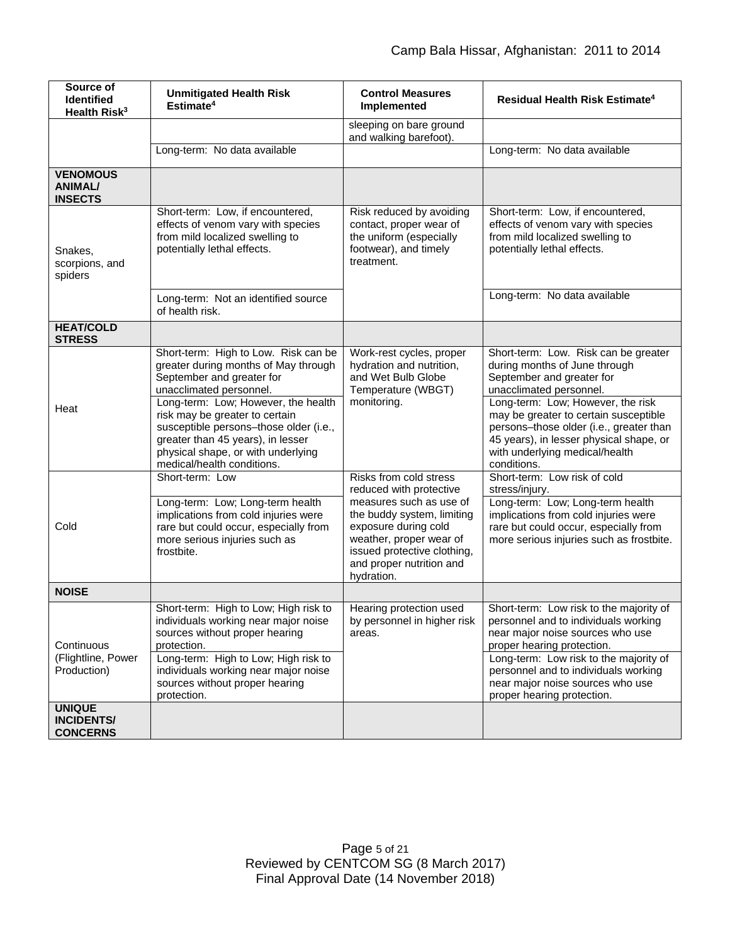| Source of<br><b>Identified</b><br>Health Risk <sup>3</sup> | <b>Unmitigated Health Risk</b><br>Estimate <sup>4</sup>                                                                                                                                                                                                                                                                            | <b>Control Measures</b><br>Implemented                                                                                                                                                                       | Residual Health Risk Estimate <sup>4</sup>                                                                                                                                                                                                                                                                                          |
|------------------------------------------------------------|------------------------------------------------------------------------------------------------------------------------------------------------------------------------------------------------------------------------------------------------------------------------------------------------------------------------------------|--------------------------------------------------------------------------------------------------------------------------------------------------------------------------------------------------------------|-------------------------------------------------------------------------------------------------------------------------------------------------------------------------------------------------------------------------------------------------------------------------------------------------------------------------------------|
|                                                            |                                                                                                                                                                                                                                                                                                                                    | sleeping on bare ground<br>and walking barefoot).                                                                                                                                                            |                                                                                                                                                                                                                                                                                                                                     |
|                                                            | Long-term: No data available                                                                                                                                                                                                                                                                                                       |                                                                                                                                                                                                              | Long-term: No data available                                                                                                                                                                                                                                                                                                        |
| <b>VENOMOUS</b><br><b>ANIMAL/</b><br><b>INSECTS</b>        |                                                                                                                                                                                                                                                                                                                                    |                                                                                                                                                                                                              |                                                                                                                                                                                                                                                                                                                                     |
| Snakes,<br>scorpions, and<br>spiders                       | Short-term: Low, if encountered,<br>effects of venom vary with species<br>from mild localized swelling to<br>potentially lethal effects.                                                                                                                                                                                           | Risk reduced by avoiding<br>contact, proper wear of<br>the uniform (especially<br>footwear), and timely<br>treatment.                                                                                        | Short-term: Low, if encountered,<br>effects of venom vary with species<br>from mild localized swelling to<br>potentially lethal effects.                                                                                                                                                                                            |
|                                                            | Long-term: Not an identified source<br>of health risk.                                                                                                                                                                                                                                                                             |                                                                                                                                                                                                              | Long-term: No data available                                                                                                                                                                                                                                                                                                        |
| <b>HEAT/COLD</b><br><b>STRESS</b>                          |                                                                                                                                                                                                                                                                                                                                    |                                                                                                                                                                                                              |                                                                                                                                                                                                                                                                                                                                     |
| Heat                                                       | Short-term: High to Low. Risk can be<br>greater during months of May through<br>September and greater for<br>unacclimated personnel.<br>Long-term: Low; However, the health<br>risk may be greater to certain<br>susceptible persons-those older (i.e.,<br>greater than 45 years), in lesser<br>physical shape, or with underlying | Work-rest cycles, proper<br>hydration and nutrition,<br>and Wet Bulb Globe<br>Temperature (WBGT)<br>monitoring.                                                                                              | Short-term: Low. Risk can be greater<br>during months of June through<br>September and greater for<br>unacclimated personnel.<br>Long-term: Low; However, the risk<br>may be greater to certain susceptible<br>persons-those older (i.e., greater than<br>45 years), in lesser physical shape, or<br>with underlying medical/health |
|                                                            | medical/health conditions.<br>Short-term: Low                                                                                                                                                                                                                                                                                      | Risks from cold stress                                                                                                                                                                                       | conditions.<br>Short-term: Low risk of cold                                                                                                                                                                                                                                                                                         |
| Cold                                                       | Long-term: Low; Long-term health<br>implications from cold injuries were<br>rare but could occur, especially from<br>more serious injuries such as<br>frostbite.                                                                                                                                                                   | reduced with protective<br>measures such as use of<br>the buddy system, limiting<br>exposure during cold<br>weather, proper wear of<br>issued protective clothing,<br>and proper nutrition and<br>hydration. | stress/injury.<br>Long-term: Low; Long-term health<br>implications from cold injuries were<br>rare but could occur, especially from<br>more serious injuries such as frostbite.                                                                                                                                                     |
| <b>NOISE</b>                                               |                                                                                                                                                                                                                                                                                                                                    |                                                                                                                                                                                                              |                                                                                                                                                                                                                                                                                                                                     |
| Continuous<br>(Flightline, Power<br>Production)            | Short-term: High to Low; High risk to<br>individuals working near major noise<br>sources without proper hearing<br>protection.<br>Long-term: High to Low; High risk to<br>individuals working near major noise<br>sources without proper hearing<br>protection.                                                                    | Hearing protection used<br>by personnel in higher risk<br>areas.                                                                                                                                             | Short-term: Low risk to the majority of<br>personnel and to individuals working<br>near major noise sources who use<br>proper hearing protection.<br>Long-term: Low risk to the majority of<br>personnel and to individuals working<br>near major noise sources who use<br>proper hearing protection.                               |
| <b>UNIQUE</b><br><b>INCIDENTS/</b><br><b>CONCERNS</b>      |                                                                                                                                                                                                                                                                                                                                    |                                                                                                                                                                                                              |                                                                                                                                                                                                                                                                                                                                     |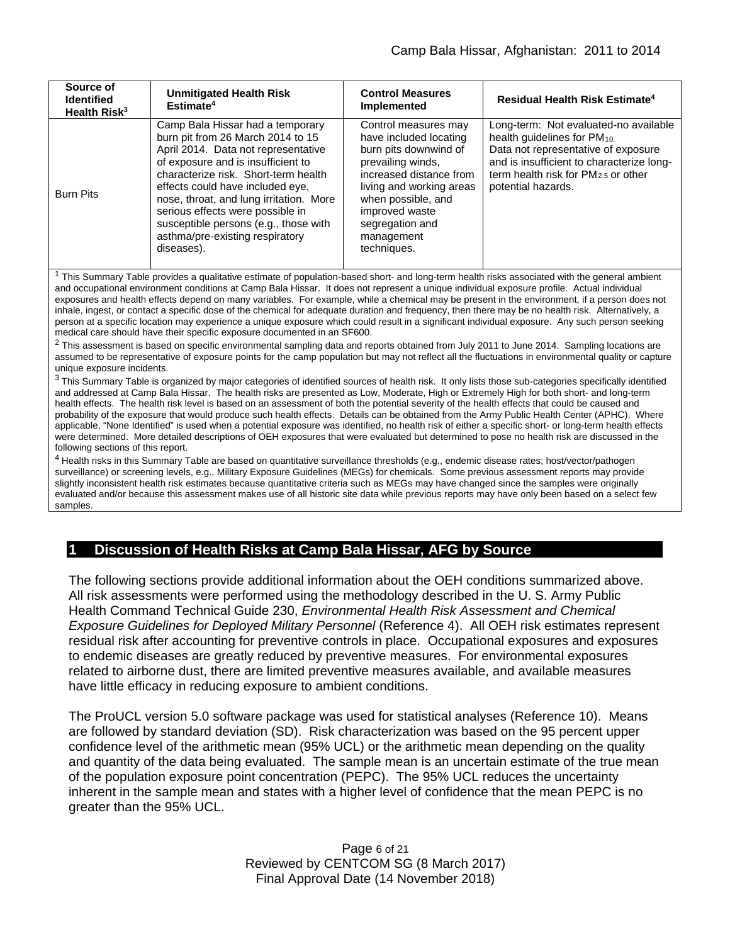| Source of<br><b>Identified</b><br>Health Risk <sup>3</sup> | <b>Unmitigated Health Risk</b><br>Estimate <sup>4</sup>                                                                                                                                                                                                                                                                                                                                                 | <b>Control Measures</b><br>Implemented                                                                                                                                                                                                      | <b>Residual Health Risk Estimate<sup>4</sup></b>                                                                                                                                                                                              |
|------------------------------------------------------------|---------------------------------------------------------------------------------------------------------------------------------------------------------------------------------------------------------------------------------------------------------------------------------------------------------------------------------------------------------------------------------------------------------|---------------------------------------------------------------------------------------------------------------------------------------------------------------------------------------------------------------------------------------------|-----------------------------------------------------------------------------------------------------------------------------------------------------------------------------------------------------------------------------------------------|
| <b>Burn Pits</b>                                           | Camp Bala Hissar had a temporary<br>burn pit from 26 March 2014 to 15<br>April 2014. Data not representative<br>of exposure and is insufficient to<br>characterize risk. Short-term health<br>effects could have included eye,<br>nose, throat, and lung irritation. More<br>serious effects were possible in<br>susceptible persons (e.g., those with<br>asthma/pre-existing respiratory<br>diseases). | Control measures may<br>have included locating<br>burn pits downwind of<br>prevailing winds,<br>increased distance from<br>living and working areas<br>when possible, and<br>improved waste<br>segregation and<br>management<br>techniques. | Long-term: Not evaluated-no available<br>health quidelines for PM <sub>10.</sub><br>Data not representative of exposure<br>and is insufficient to characterize long-<br>term health risk for PM <sub>2.5</sub> or other<br>potential hazards. |

<sup>1</sup> This Summary Table provides a qualitative estimate of population-based short- and long-term health risks associated with the general ambient and occupational environment conditions at Camp Bala Hissar. It does not represent a unique individual exposure profile. Actual individual exposures and health effects depend on many variables. For example, while a chemical may be present in the environment, if a person does not inhale, ingest, or contact a specific dose of the chemical for adequate duration and frequency, then there may be no health risk. Alternatively, a person at a specific location may experience a unique exposure which could result in a significant individual exposure. Any such person seeking medical care should have their specific exposure documented in an SF600.

<sup>2</sup> This assessment is based on specific environmental sampling data and reports obtained from July 2011 to June 2014. Sampling locations are assumed to be representative of exposure points for the camp population but may not reflect all the fluctuations in environmental quality or capture unique exposure incidents.

 $3$  This Summary Table is organized by major categories of identified sources of health risk. It only lists those sub-categories specifically identified and addressed at Camp Bala Hissar. The health risks are presented as Low, Moderate, High or Extremely High for both short- and long-term health effects. The health risk level is based on an assessment of both the potential severity of the health effects that could be caused and probability of the exposure that would produce such health effects. Details can be obtained from the Army Public Health Center (APHC). Where applicable, "None Identified" is used when a potential exposure was identified, no health risk of either a specific short- or long-term health effects were determined. More detailed descriptions of OEH exposures that were evaluated but determined to pose no health risk are discussed in the following sections of this report.

 $^4$  Health risks in this Summary Table are based on quantitative surveillance thresholds (e.g., endemic disease rates; host/vector/pathogen surveillance) or screening levels, e.g., Military Exposure Guidelines (MEGs) for chemicals*.* Some previous assessment reports may provide slightly inconsistent health risk estimates because quantitative criteria such as MEGs may have changed since the samples were originally evaluated and/or because this assessment makes use of all historic site data while previous reports may have only been based on a select few samples.

# **1 Discussion of Health Risks at Camp Bala Hissar, AFG by Source**

The following sections provide additional information about the OEH conditions summarized above. All risk assessments were performed using the methodology described in the U. S. Army Public Health Command Technical Guide 230, *Environmental Health Risk Assessment and Chemical Exposure Guidelines for Deployed Military Personnel* (Reference 4). All OEH risk estimates represent residual risk after accounting for preventive controls in place. Occupational exposures and exposures to endemic diseases are greatly reduced by preventive measures. For environmental exposures related to airborne dust, there are limited preventive measures available, and available measures have little efficacy in reducing exposure to ambient conditions.

The ProUCL version 5.0 software package was used for statistical analyses (Reference 10). Means are followed by standard deviation (SD). Risk characterization was based on the 95 percent upper confidence level of the arithmetic mean (95% UCL) or the arithmetic mean depending on the quality and quantity of the data being evaluated. The sample mean is an uncertain estimate of the true mean of the population exposure point concentration (PEPC). The 95% UCL reduces the uncertainty inherent in the sample mean and states with a higher level of confidence that the mean PEPC is no greater than the 95% UCL.

> Page 6 of 21 Reviewed by CENTCOM SG (8 March 2017) Final Approval Date (14 November 2018)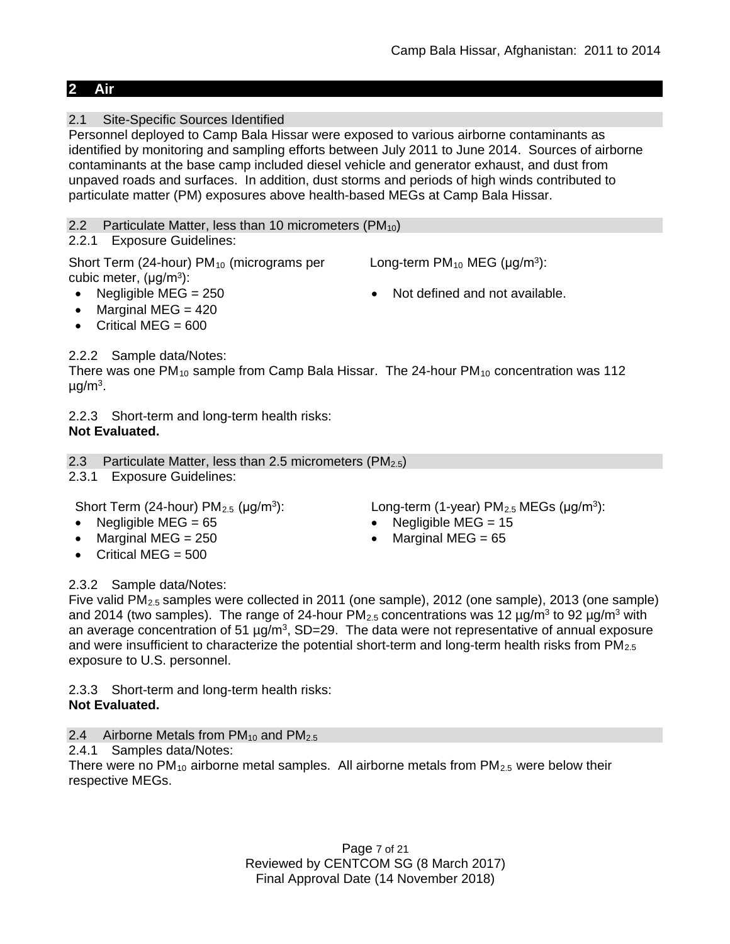# **2 Air**

2.1 Site-Specific Sources Identified

Personnel deployed to Camp Bala Hissar were exposed to various airborne contaminants as identified by monitoring and sampling efforts between July 2011 to June 2014. Sources of airborne contaminants at the base camp included diesel vehicle and generator exhaust, and dust from unpaved roads and surfaces. In addition, dust storms and periods of high winds contributed to particulate matter (PM) exposures above health-based MEGs at Camp Bala Hissar.

2.2 Particulate Matter, less than 10 micrometers  $(PM_{10})$ 

2.2.1 Exposure Guidelines:

Short Term (24-hour) PM<sub>10</sub> (micrograms per Long-term PM<sub>10</sub> MEG ( $\mu$ g/m<sup>3</sup>): cubic meter,  $(\mu g/m^3)$ :

- 
- Negligible MEG = 250 **•** Not defined and not available.
- Marginal MEG  $= 420$ • Critical MFG  $= 600$

# 2.2.2 Sample data/Notes:

There was one PM<sub>10</sub> sample from Camp Bala Hissar. The 24-hour PM<sub>10</sub> concentration was 112  $\mu$ g/m<sup>3</sup>.

2.2.3 Short-term and long-term health risks: **Not Evaluated.**

2.3 Particulate Matter, less than 2.5 micrometers  $(PM_{2.5})$ 

2.3.1 Exposure Guidelines:

- 
- Marginal MEG = 250 Marginal MEG = 65
- Critical MFG  $= 500$

Short Term (24-hour) PM<sub>2.5</sub> ( $\mu$ g/m<sup>3</sup>): Long-term (1-year) PM<sub>2.5</sub> MEGs ( $\mu$ g/m<sup>3</sup>):

- Negligible MEG =  $65$  Negligible MEG =  $15$ 
	-

# 2.3.2 Sample data/Notes:

Five valid  $PM_{2.5}$  samples were collected in 2011 (one sample), 2012 (one sample), 2013 (one sample) and 2014 (two samples). The range of 24-hour  $PM_{2.5}$  concentrations was 12  $\mu$ g/m<sup>3</sup> to 92  $\mu$ g/m<sup>3</sup> with an average concentration of 51  $\mu$ g/m<sup>3</sup>, SD=29. The data were not representative of annual exposure and were insufficient to characterize the potential short-term and long-term health risks from  $PM_{2.5}$ exposure to U.S. personnel.

2.3.3 Short-term and long-term health risks: **Not Evaluated.**

2.4 Airborne Metals from PM<sub>10</sub> and PM<sub>2.5</sub>

2.4.1 Samples data/Notes:

There were no  $PM_{10}$  airborne metal samples. All airborne metals from  $PM_{2.5}$  were below their respective MEGs.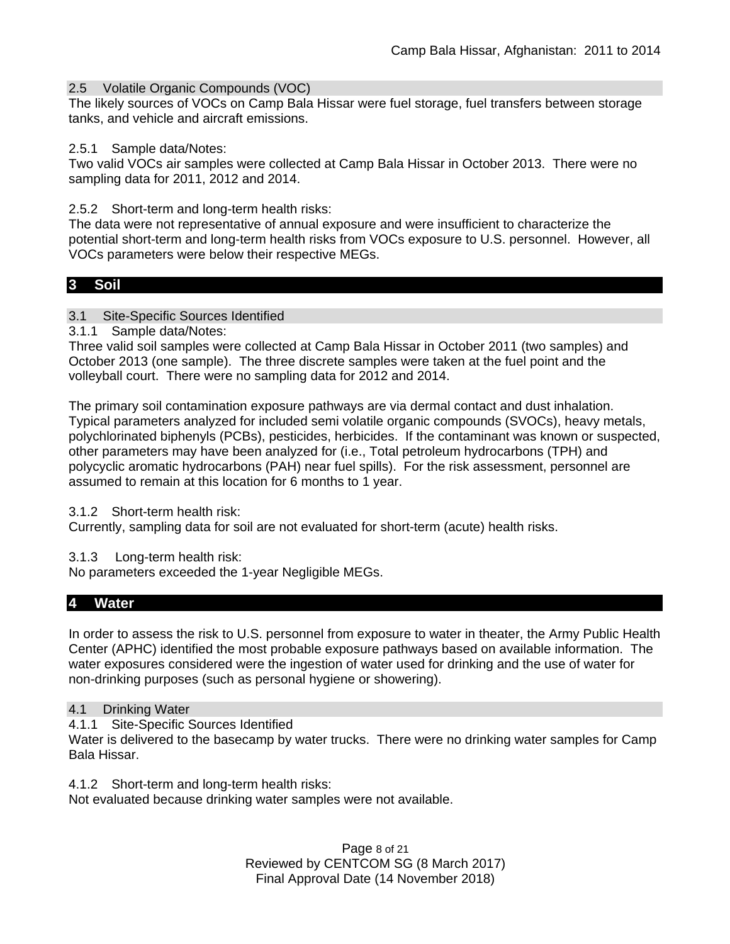#### 2.5 Volatile Organic Compounds (VOC)

The likely sources of VOCs on Camp Bala Hissar were fuel storage, fuel transfers between storage tanks, and vehicle and aircraft emissions.

#### 2.5.1 Sample data/Notes:

Two valid VOCs air samples were collected at Camp Bala Hissar in October 2013. There were no sampling data for 2011, 2012 and 2014.

### 2.5.2 Short-term and long-term health risks:

The data were not representative of annual exposure and were insufficient to characterize the potential short-term and long-term health risks from VOCs exposure to U.S. personnel. However, all VOCs parameters were below their respective MEGs.

## **3 Soil**

### 3.1 Site-Specific Sources Identified

3.1.1 Sample data/Notes:

Three valid soil samples were collected at Camp Bala Hissar in October 2011 (two samples) and October 2013 (one sample). The three discrete samples were taken at the fuel point and the volleyball court. There were no sampling data for 2012 and 2014.

The primary soil contamination exposure pathways are via dermal contact and dust inhalation. Typical parameters analyzed for included semi volatile organic compounds (SVOCs), heavy metals, polychlorinated biphenyls (PCBs), pesticides, herbicides. If the contaminant was known or suspected, other parameters may have been analyzed for (i.e., Total petroleum hydrocarbons (TPH) and polycyclic aromatic hydrocarbons (PAH) near fuel spills). For the risk assessment, personnel are assumed to remain at this location for 6 months to 1 year.

3.1.2 Short-term health risk:

Currently, sampling data for soil are not evaluated for short-term (acute) health risks.

3.1.3 Long-term health risk:

No parameters exceeded the 1-year Negligible MEGs.

# **4 Water**

In order to assess the risk to U.S. personnel from exposure to water in theater, the Army Public Health Center (APHC) identified the most probable exposure pathways based on available information. The water exposures considered were the ingestion of water used for drinking and the use of water for non-drinking purposes (such as personal hygiene or showering).

### 4.1 Drinking Water

4.1.1 Site-Specific Sources Identified

Water is delivered to the basecamp by water trucks. There were no drinking water samples for Camp Bala Hissar.

4.1.2 Short-term and long-term health risks: Not evaluated because drinking water samples were not available.

> Page 8 of 21 Reviewed by CENTCOM SG (8 March 2017) Final Approval Date (14 November 2018)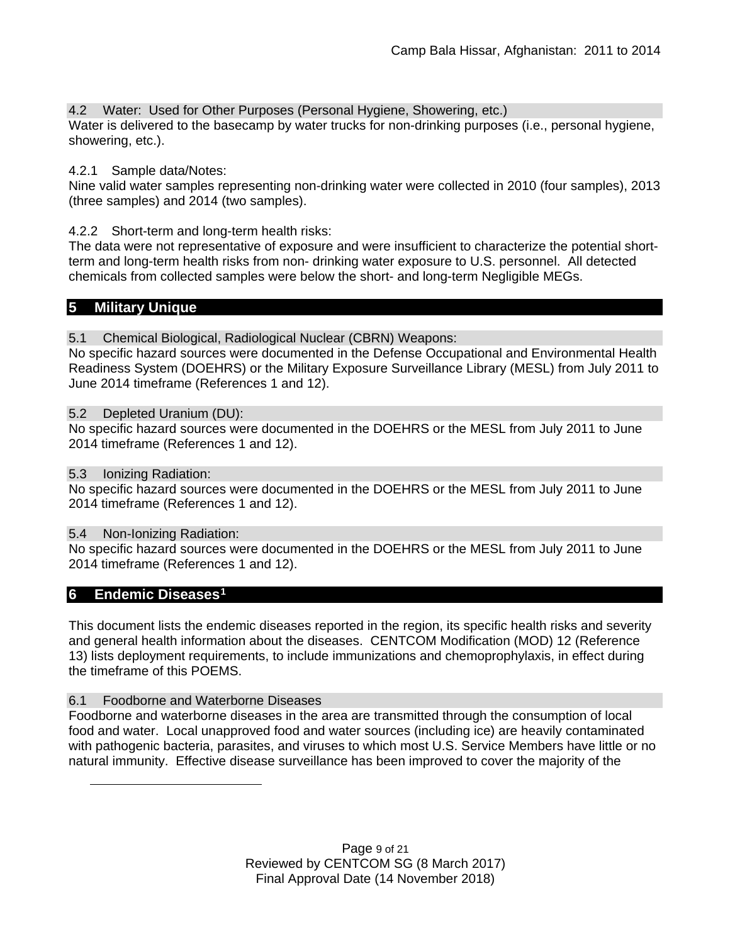4.2 Water: Used for Other Purposes (Personal Hygiene, Showering, etc.)

Water is delivered to the basecamp by water trucks for non-drinking purposes (i.e., personal hygiene, showering, etc.).

4.2.1 Sample data/Notes:

Nine valid water samples representing non-drinking water were collected in 2010 (four samples), 2013 (three samples) and 2014 (two samples).

4.2.2 Short-term and long-term health risks:

The data were not representative of exposure and were insufficient to characterize the potential shortterm and long-term health risks from non- drinking water exposure to U.S. personnel. All detected chemicals from collected samples were below the short- and long-term Negligible MEGs.

# **5 Military Unique**

5.1 Chemical Biological, Radiological Nuclear (CBRN) Weapons:

No specific hazard sources were documented in the Defense Occupational and Environmental Health Readiness System (DOEHRS) or the Military Exposure Surveillance Library (MESL) from July 2011 to June 2014 timeframe (References 1 and 12).

5.2 Depleted Uranium (DU):

No specific hazard sources were documented in the DOEHRS or the MESL from July 2011 to June 2014 timeframe (References 1 and 12).

5.3 Ionizing Radiation:

No specific hazard sources were documented in the DOEHRS or the MESL from July 2011 to June 2014 timeframe (References 1 and 12).

5.4 Non-Ionizing Radiation:

No specific hazard sources were documented in the DOEHRS or the MESL from July 2011 to June 2014 timeframe (References 1 and 12).

# **6 Endemic Diseases[1](#page-8-0)**

<span id="page-8-0"></span> $\ddot{\phantom{a}}$ 

This document lists the endemic diseases reported in the region, its specific health risks and severity and general health information about the diseases. CENTCOM Modification (MOD) 12 (Reference 13) lists deployment requirements, to include immunizations and chemoprophylaxis, in effect during the timeframe of this POEMS.

# 6.1 Foodborne and Waterborne Diseases

Foodborne and waterborne diseases in the area are transmitted through the consumption of local food and water. Local unapproved food and water sources (including ice) are heavily contaminated with pathogenic bacteria, parasites, and viruses to which most U.S. Service Members have little or no natural immunity. Effective disease surveillance has been improved to cover the majority of the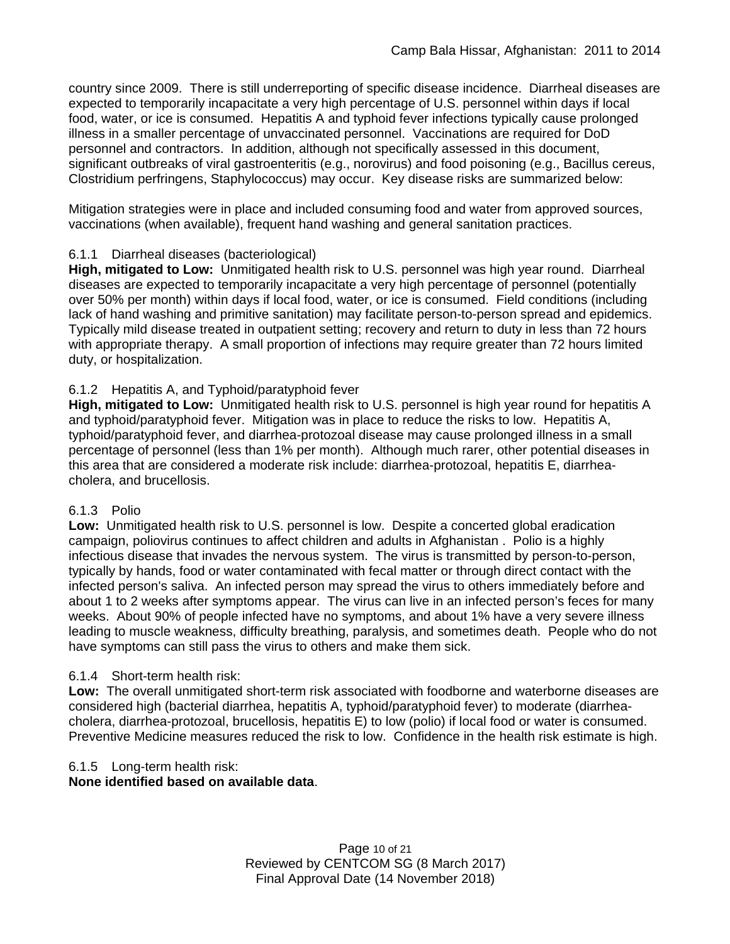country since 2009. There is still underreporting of specific disease incidence. Diarrheal diseases are expected to temporarily incapacitate a very high percentage of U.S. personnel within days if local food, water, or ice is consumed. Hepatitis A and typhoid fever infections typically cause prolonged illness in a smaller percentage of unvaccinated personnel. Vaccinations are required for DoD personnel and contractors. In addition, although not specifically assessed in this document, significant outbreaks of viral gastroenteritis (e.g., norovirus) and food poisoning (e.g., Bacillus cereus, Clostridium perfringens, Staphylococcus) may occur. Key disease risks are summarized below:

Mitigation strategies were in place and included consuming food and water from approved sources, vaccinations (when available), frequent hand washing and general sanitation practices.

## 6.1.1 Diarrheal diseases (bacteriological)

**High, mitigated to Low:** Unmitigated health risk to U.S. personnel was high year round. Diarrheal diseases are expected to temporarily incapacitate a very high percentage of personnel (potentially over 50% per month) within days if local food, water, or ice is consumed. Field conditions (including lack of hand washing and primitive sanitation) may facilitate person-to-person spread and epidemics. Typically mild disease treated in outpatient setting; recovery and return to duty in less than 72 hours with appropriate therapy. A small proportion of infections may require greater than 72 hours limited duty, or hospitalization.

# 6.1.2 Hepatitis A, and Typhoid/paratyphoid fever

**High, mitigated to Low:** Unmitigated health risk to U.S. personnel is high year round for hepatitis A and typhoid/paratyphoid fever. Mitigation was in place to reduce the risks to low. Hepatitis A, typhoid/paratyphoid fever, and diarrhea-protozoal disease may cause prolonged illness in a small percentage of personnel (less than 1% per month). Although much rarer, other potential diseases in this area that are considered a moderate risk include: diarrhea-protozoal, hepatitis E, diarrheacholera, and brucellosis.

### 6.1.3 Polio

**Low:** Unmitigated health risk to U.S. personnel is low. Despite a concerted global eradication campaign, poliovirus continues to affect children and adults in Afghanistan . Polio is a highly infectious disease that invades the nervous system. The virus is transmitted by person-to-person, typically by hands, food or water contaminated with fecal matter or through direct contact with the infected person's saliva. An infected person may spread the virus to others immediately before and about 1 to 2 weeks after symptoms appear. The virus can live in an infected person's feces for many weeks. About 90% of people infected have no symptoms, and about 1% have a very severe illness leading to muscle weakness, difficulty breathing, paralysis, and sometimes death. People who do not have symptoms can still pass the virus to others and make them sick.

### 6.1.4 Short-term health risk:

**Low:** The overall unmitigated short-term risk associated with foodborne and waterborne diseases are considered high (bacterial diarrhea, hepatitis A, typhoid/paratyphoid fever) to moderate (diarrheacholera, diarrhea-protozoal, brucellosis, hepatitis E) to low (polio) if local food or water is consumed. Preventive Medicine measures reduced the risk to low. Confidence in the health risk estimate is high.

### 6.1.5 Long-term health risk:

# **None identified based on available data**.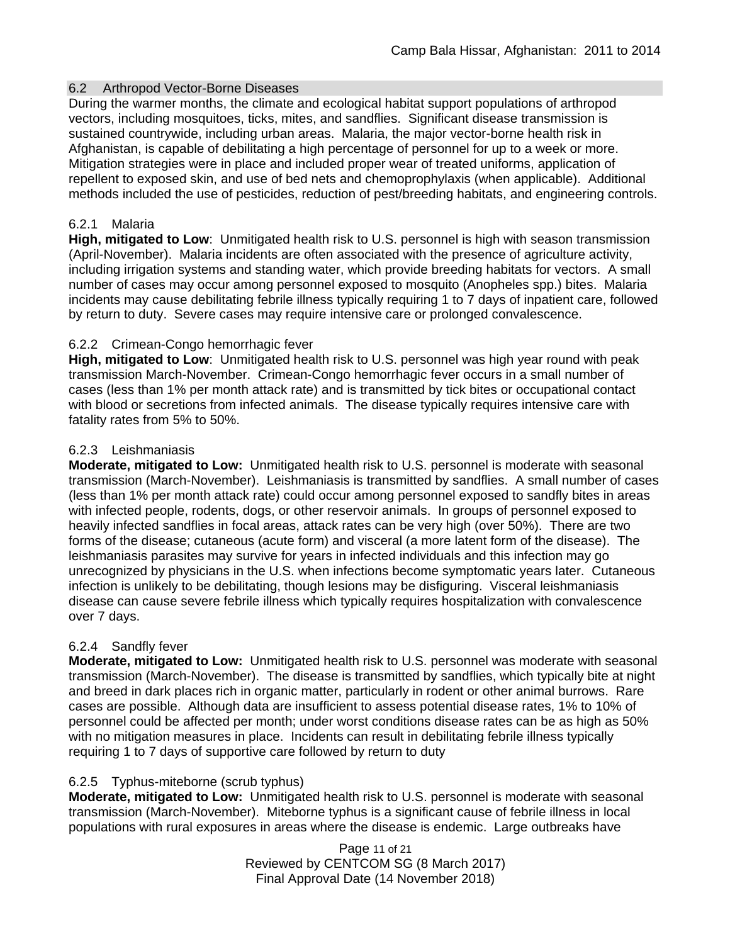### 6.2 Arthropod Vector-Borne Diseases

During the warmer months, the climate and ecological habitat support populations of arthropod vectors, including mosquitoes, ticks, mites, and sandflies. Significant disease transmission is sustained countrywide, including urban areas. Malaria, the major vector-borne health risk in Afghanistan, is capable of debilitating a high percentage of personnel for up to a week or more. Mitigation strategies were in place and included proper wear of treated uniforms, application of repellent to exposed skin, and use of bed nets and chemoprophylaxis (when applicable). Additional methods included the use of pesticides, reduction of pest/breeding habitats, and engineering controls.

## 6.2.1 Malaria

**High, mitigated to Low**: Unmitigated health risk to U.S. personnel is high with season transmission (April-November). Malaria incidents are often associated with the presence of agriculture activity, including irrigation systems and standing water, which provide breeding habitats for vectors. A small number of cases may occur among personnel exposed to mosquito (Anopheles spp.) bites. Malaria incidents may cause debilitating febrile illness typically requiring 1 to 7 days of inpatient care, followed by return to duty. Severe cases may require intensive care or prolonged convalescence.

## 6.2.2 Crimean-Congo hemorrhagic fever

**High, mitigated to Low**: Unmitigated health risk to U.S. personnel was high year round with peak transmission March-November. Crimean-Congo hemorrhagic fever occurs in a small number of cases (less than 1% per month attack rate) and is transmitted by tick bites or occupational contact with blood or secretions from infected animals. The disease typically requires intensive care with fatality rates from 5% to 50%.

### 6.2.3 Leishmaniasis

**Moderate, mitigated to Low:** Unmitigated health risk to U.S. personnel is moderate with seasonal transmission (March-November). Leishmaniasis is transmitted by sandflies. A small number of cases (less than 1% per month attack rate) could occur among personnel exposed to sandfly bites in areas with infected people, rodents, dogs, or other reservoir animals. In groups of personnel exposed to heavily infected sandflies in focal areas, attack rates can be very high (over 50%). There are two forms of the disease; cutaneous (acute form) and visceral (a more latent form of the disease). The leishmaniasis parasites may survive for years in infected individuals and this infection may go unrecognized by physicians in the U.S. when infections become symptomatic years later. Cutaneous infection is unlikely to be debilitating, though lesions may be disfiguring. Visceral leishmaniasis disease can cause severe febrile illness which typically requires hospitalization with convalescence over 7 days.

### 6.2.4 Sandfly fever

**Moderate, mitigated to Low:** Unmitigated health risk to U.S. personnel was moderate with seasonal transmission (March-November). The disease is transmitted by sandflies, which typically bite at night and breed in dark places rich in organic matter, particularly in rodent or other animal burrows. Rare cases are possible. Although data are insufficient to assess potential disease rates, 1% to 10% of personnel could be affected per month; under worst conditions disease rates can be as high as 50% with no mitigation measures in place. Incidents can result in debilitating febrile illness typically requiring 1 to 7 days of supportive care followed by return to duty

# 6.2.5 Typhus-miteborne (scrub typhus)

**Moderate, mitigated to Low:** Unmitigated health risk to U.S. personnel is moderate with seasonal transmission (March-November). Miteborne typhus is a significant cause of febrile illness in local populations with rural exposures in areas where the disease is endemic. Large outbreaks have

> Page 11 of 21 Reviewed by CENTCOM SG (8 March 2017) Final Approval Date (14 November 2018)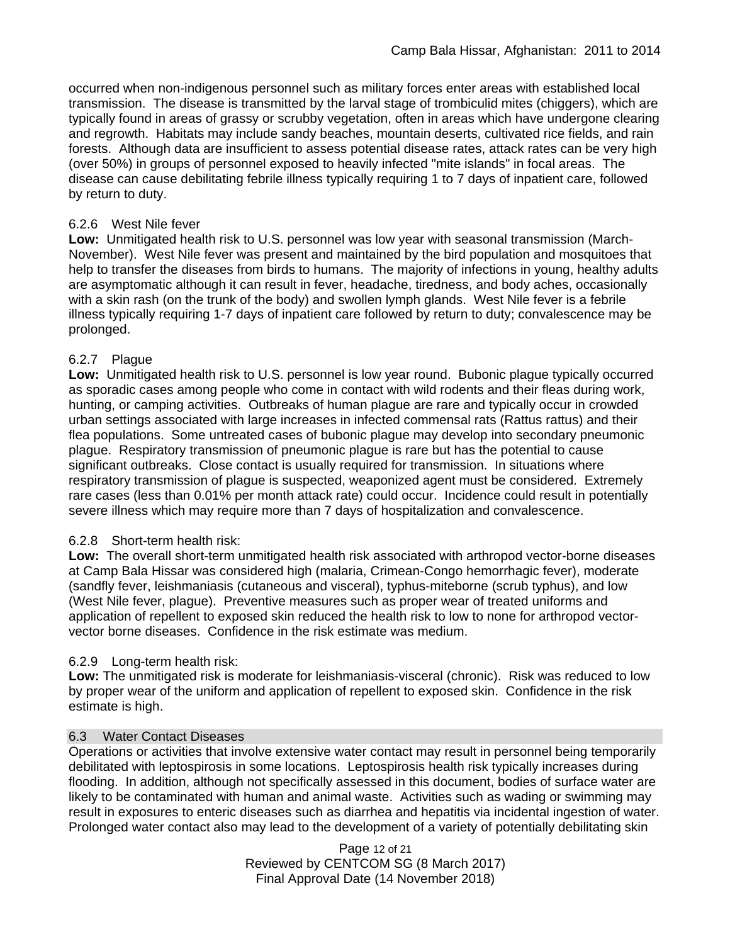occurred when non-indigenous personnel such as military forces enter areas with established local transmission. The disease is transmitted by the larval stage of trombiculid mites (chiggers), which are typically found in areas of grassy or scrubby vegetation, often in areas which have undergone clearing and regrowth. Habitats may include sandy beaches, mountain deserts, cultivated rice fields, and rain forests. Although data are insufficient to assess potential disease rates, attack rates can be very high (over 50%) in groups of personnel exposed to heavily infected "mite islands" in focal areas. The disease can cause debilitating febrile illness typically requiring 1 to 7 days of inpatient care, followed by return to duty.

### 6.2.6 West Nile fever

**Low:** Unmitigated health risk to U.S. personnel was low year with seasonal transmission (March-November). West Nile fever was present and maintained by the bird population and mosquitoes that help to transfer the diseases from birds to humans. The majority of infections in young, healthy adults are asymptomatic although it can result in fever, headache, tiredness, and body aches, occasionally with a skin rash (on the trunk of the body) and swollen lymph glands. West Nile fever is a febrile illness typically requiring 1-7 days of inpatient care followed by return to duty; convalescence may be prolonged.

### 6.2.7 Plague

**Low:** Unmitigated health risk to U.S. personnel is low year round. Bubonic plague typically occurred as sporadic cases among people who come in contact with wild rodents and their fleas during work, hunting, or camping activities. Outbreaks of human plague are rare and typically occur in crowded urban settings associated with large increases in infected commensal rats (Rattus rattus) and their flea populations. Some untreated cases of bubonic plague may develop into secondary pneumonic plague. Respiratory transmission of pneumonic plague is rare but has the potential to cause significant outbreaks. Close contact is usually required for transmission. In situations where respiratory transmission of plague is suspected, weaponized agent must be considered. Extremely rare cases (less than 0.01% per month attack rate) could occur. Incidence could result in potentially severe illness which may require more than 7 days of hospitalization and convalescence.

#### 6.2.8 Short-term health risk:

**Low:** The overall short-term unmitigated health risk associated with arthropod vector-borne diseases at Camp Bala Hissar was considered high (malaria, Crimean-Congo hemorrhagic fever), moderate (sandfly fever, leishmaniasis (cutaneous and visceral), typhus-miteborne (scrub typhus), and low (West Nile fever, plague). Preventive measures such as proper wear of treated uniforms and application of repellent to exposed skin reduced the health risk to low to none for arthropod vectorvector borne diseases. Confidence in the risk estimate was medium.

#### 6.2.9 Long-term health risk:

**Low:** The unmitigated risk is moderate for leishmaniasis-visceral (chronic). Risk was reduced to low by proper wear of the uniform and application of repellent to exposed skin. Confidence in the risk estimate is high.

### 6.3 Water Contact Diseases

Operations or activities that involve extensive water contact may result in personnel being temporarily debilitated with leptospirosis in some locations. Leptospirosis health risk typically increases during flooding. In addition, although not specifically assessed in this document, bodies of surface water are likely to be contaminated with human and animal waste. Activities such as wading or swimming may result in exposures to enteric diseases such as diarrhea and hepatitis via incidental ingestion of water. Prolonged water contact also may lead to the development of a variety of potentially debilitating skin

> Page 12 of 21 Reviewed by CENTCOM SG (8 March 2017) Final Approval Date (14 November 2018)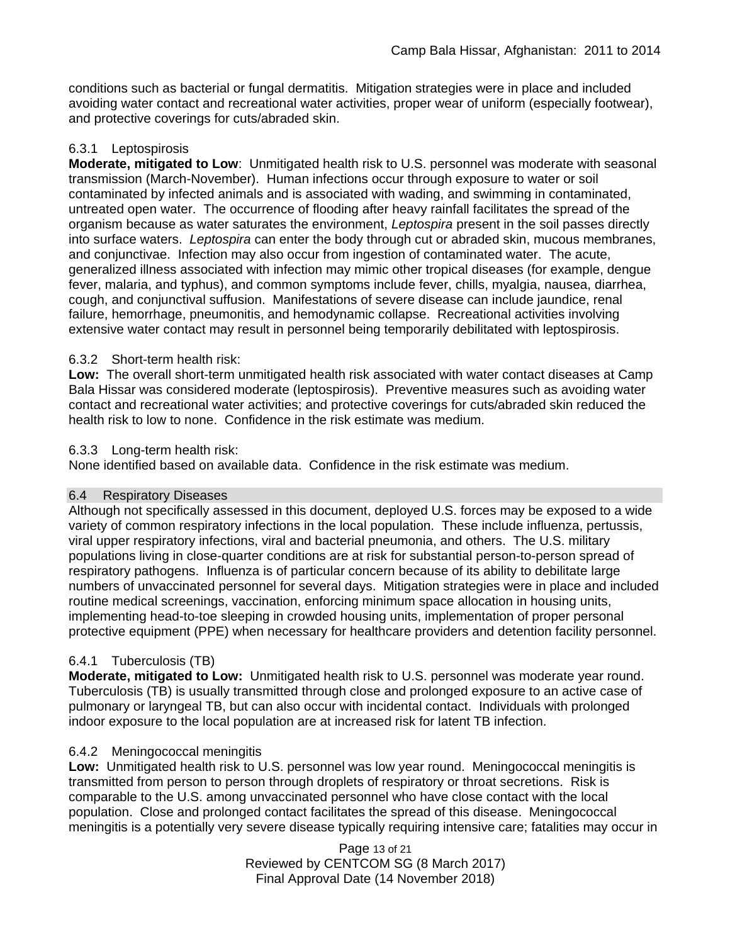conditions such as bacterial or fungal dermatitis. Mitigation strategies were in place and included avoiding water contact and recreational water activities, proper wear of uniform (especially footwear), and protective coverings for cuts/abraded skin.

## 6.3.1 Leptospirosis

**Moderate, mitigated to Low**: Unmitigated health risk to U.S. personnel was moderate with seasonal transmission (March-November). Human infections occur through exposure to water or soil contaminated by infected animals and is associated with wading, and swimming in contaminated, untreated open water. The occurrence of flooding after heavy rainfall facilitates the spread of the organism because as water saturates the environment, *Leptospira* present in the soil passes directly into surface waters. *Leptospira* can enter the body through cut or abraded skin, mucous membranes, and conjunctivae. Infection may also occur from ingestion of contaminated water. The acute, generalized illness associated with infection may mimic other tropical diseases (for example, dengue fever, malaria, and typhus), and common symptoms include fever, chills, myalgia, nausea, diarrhea, cough, and conjunctival suffusion. Manifestations of severe disease can include jaundice, renal failure, hemorrhage, pneumonitis, and hemodynamic collapse. Recreational activities involving extensive water contact may result in personnel being temporarily debilitated with leptospirosis.

## 6.3.2 Short-term health risk:

**Low:** The overall short-term unmitigated health risk associated with water contact diseases at Camp Bala Hissar was considered moderate (leptospirosis). Preventive measures such as avoiding water contact and recreational water activities; and protective coverings for cuts/abraded skin reduced the health risk to low to none. Confidence in the risk estimate was medium.

### 6.3.3 Long-term health risk:

None identified based on available data. Confidence in the risk estimate was medium.

### 6.4 Respiratory Diseases

Although not specifically assessed in this document, deployed U.S. forces may be exposed to a wide variety of common respiratory infections in the local population. These include influenza, pertussis, viral upper respiratory infections, viral and bacterial pneumonia, and others. The U.S. military populations living in close-quarter conditions are at risk for substantial person-to-person spread of respiratory pathogens. Influenza is of particular concern because of its ability to debilitate large numbers of unvaccinated personnel for several days. Mitigation strategies were in place and included routine medical screenings, vaccination, enforcing minimum space allocation in housing units, implementing head-to-toe sleeping in crowded housing units, implementation of proper personal protective equipment (PPE) when necessary for healthcare providers and detention facility personnel.

# 6.4.1 Tuberculosis (TB)

**Moderate, mitigated to Low:** Unmitigated health risk to U.S. personnel was moderate year round. Tuberculosis (TB) is usually transmitted through close and prolonged exposure to an active case of pulmonary or laryngeal TB, but can also occur with incidental contact. Individuals with prolonged indoor exposure to the local population are at increased risk for latent TB infection.

# 6.4.2 Meningococcal meningitis

**Low:** Unmitigated health risk to U.S. personnel was low year round. Meningococcal meningitis is transmitted from person to person through droplets of respiratory or throat secretions. Risk is comparable to the U.S. among unvaccinated personnel who have close contact with the local population. Close and prolonged contact facilitates the spread of this disease. Meningococcal meningitis is a potentially very severe disease typically requiring intensive care; fatalities may occur in

> Page 13 of 21 Reviewed by CENTCOM SG (8 March 2017) Final Approval Date (14 November 2018)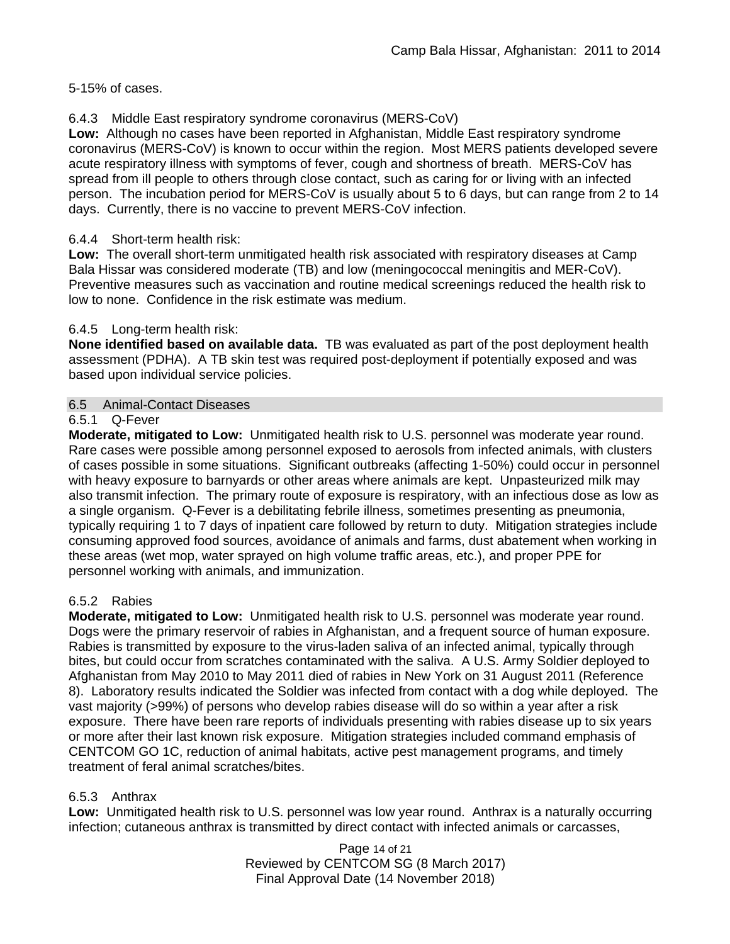5-15% of cases.

## 6.4.3 Middle East respiratory syndrome coronavirus (MERS-CoV)

**Low:** Although no cases have been reported in Afghanistan, Middle East respiratory syndrome coronavirus (MERS-CoV) is known to occur within the region. Most MERS patients developed severe acute respiratory illness with symptoms of fever, cough and shortness of breath. MERS-CoV has spread from ill people to others through close contact, such as caring for or living with an infected person. The incubation period for MERS-CoV is usually about 5 to 6 days, but can range from 2 to 14 days. Currently, there is no vaccine to prevent MERS-CoV infection.

## 6.4.4 Short-term health risk:

**Low:** The overall short-term unmitigated health risk associated with respiratory diseases at Camp Bala Hissar was considered moderate (TB) and low (meningococcal meningitis and MER-CoV). Preventive measures such as vaccination and routine medical screenings reduced the health risk to low to none. Confidence in the risk estimate was medium.

# 6.4.5 Long-term health risk:

**None identified based on available data.** TB was evaluated as part of the post deployment health assessment (PDHA). A TB skin test was required post-deployment if potentially exposed and was based upon individual service policies.

## 6.5 Animal-Contact Diseases

## 6.5.1 Q-Fever

**Moderate, mitigated to Low:** Unmitigated health risk to U.S. personnel was moderate year round. Rare cases were possible among personnel exposed to aerosols from infected animals, with clusters of cases possible in some situations. Significant outbreaks (affecting 1-50%) could occur in personnel with heavy exposure to barnyards or other areas where animals are kept. Unpasteurized milk may also transmit infection. The primary route of exposure is respiratory, with an infectious dose as low as a single organism. Q-Fever is a debilitating febrile illness, sometimes presenting as pneumonia, typically requiring 1 to 7 days of inpatient care followed by return to duty. Mitigation strategies include consuming approved food sources, avoidance of animals and farms, dust abatement when working in these areas (wet mop, water sprayed on high volume traffic areas, etc.), and proper PPE for personnel working with animals, and immunization.

# 6.5.2 Rabies

**Moderate, mitigated to Low:** Unmitigated health risk to U.S. personnel was moderate year round. Dogs were the primary reservoir of rabies in Afghanistan, and a frequent source of human exposure. Rabies is transmitted by exposure to the virus-laden saliva of an infected animal, typically through bites, but could occur from scratches contaminated with the saliva. A U.S. Army Soldier deployed to Afghanistan from May 2010 to May 2011 died of rabies in New York on 31 August 2011 (Reference 8). Laboratory results indicated the Soldier was infected from contact with a dog while deployed. The vast majority (>99%) of persons who develop rabies disease will do so within a year after a risk exposure. There have been rare reports of individuals presenting with rabies disease up to six years or more after their last known risk exposure. Mitigation strategies included command emphasis of CENTCOM GO 1C, reduction of animal habitats, active pest management programs, and timely treatment of feral animal scratches/bites.

# 6.5.3 Anthrax

**Low:** Unmitigated health risk to U.S. personnel was low year round. Anthrax is a naturally occurring infection; cutaneous anthrax is transmitted by direct contact with infected animals or carcasses,

> Page 14 of 21 Reviewed by CENTCOM SG (8 March 2017) Final Approval Date (14 November 2018)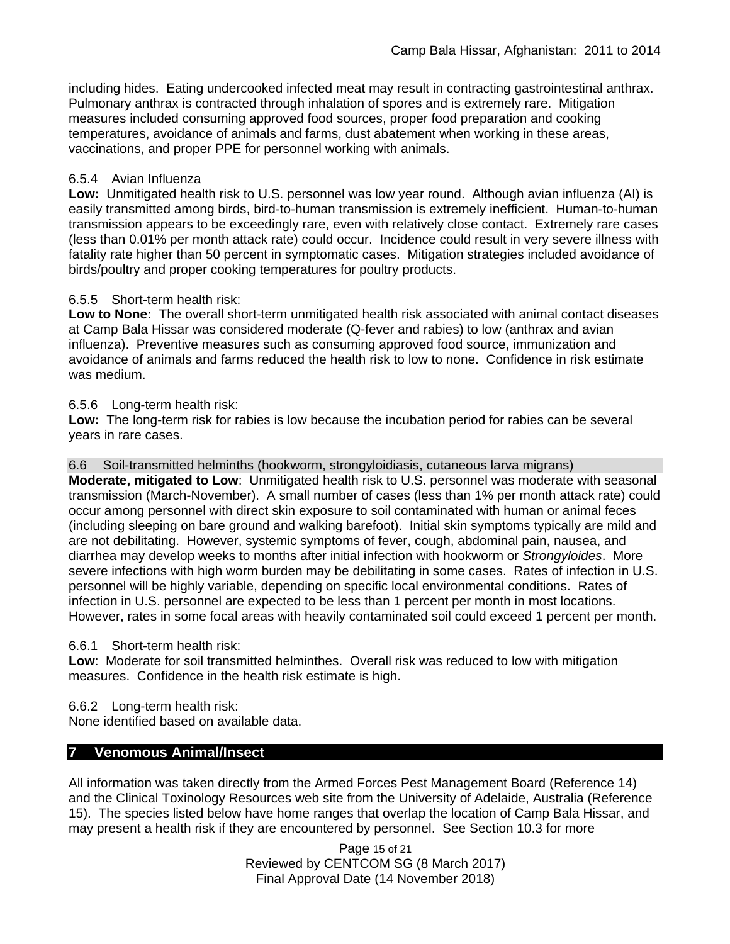including hides. Eating undercooked infected meat may result in contracting gastrointestinal anthrax. Pulmonary anthrax is contracted through inhalation of spores and is extremely rare. Mitigation measures included consuming approved food sources, proper food preparation and cooking temperatures, avoidance of animals and farms, dust abatement when working in these areas, vaccinations, and proper PPE for personnel working with animals.

## 6.5.4 Avian Influenza

**Low:** Unmitigated health risk to U.S. personnel was low year round. Although avian influenza (AI) is easily transmitted among birds, bird-to-human transmission is extremely inefficient. Human-to-human transmission appears to be exceedingly rare, even with relatively close contact. Extremely rare cases (less than 0.01% per month attack rate) could occur. Incidence could result in very severe illness with fatality rate higher than 50 percent in symptomatic cases. Mitigation strategies included avoidance of birds/poultry and proper cooking temperatures for poultry products.

## 6.5.5 Short-term health risk:

**Low to None:** The overall short-term unmitigated health risk associated with animal contact diseases at Camp Bala Hissar was considered moderate (Q-fever and rabies) to low (anthrax and avian influenza). Preventive measures such as consuming approved food source, immunization and avoidance of animals and farms reduced the health risk to low to none. Confidence in risk estimate was medium.

## 6.5.6 Long-term health risk:

**Low:** The long-term risk for rabies is low because the incubation period for rabies can be several years in rare cases.

# 6.6 Soil-transmitted helminths (hookworm, strongyloidiasis, cutaneous larva migrans)

**Moderate, mitigated to Low**: Unmitigated health risk to U.S. personnel was moderate with seasonal transmission (March-November). A small number of cases (less than 1% per month attack rate) could occur among personnel with direct skin exposure to soil contaminated with human or animal feces (including sleeping on bare ground and walking barefoot). Initial skin symptoms typically are mild and are not debilitating. However, systemic symptoms of fever, cough, abdominal pain, nausea, and diarrhea may develop weeks to months after initial infection with hookworm or *Strongyloides*. More severe infections with high worm burden may be debilitating in some cases. Rates of infection in U.S. personnel will be highly variable, depending on specific local environmental conditions. Rates of infection in U.S. personnel are expected to be less than 1 percent per month in most locations. However, rates in some focal areas with heavily contaminated soil could exceed 1 percent per month.

### 6.6.1 Short-term health risk:

**Low**: Moderate for soil transmitted helminthes. Overall risk was reduced to low with mitigation measures. Confidence in the health risk estimate is high.

### 6.6.2 Long-term health risk:

None identified based on available data.

# **7 Venomous Animal/Insect**

All information was taken directly from the Armed Forces Pest Management Board (Reference 14) and the Clinical Toxinology Resources web site from the University of Adelaide, Australia (Reference 15). The species listed below have home ranges that overlap the location of Camp Bala Hissar, and may present a health risk if they are encountered by personnel. See Section 10.3 for more

> Page 15 of 21 Reviewed by CENTCOM SG (8 March 2017) Final Approval Date (14 November 2018)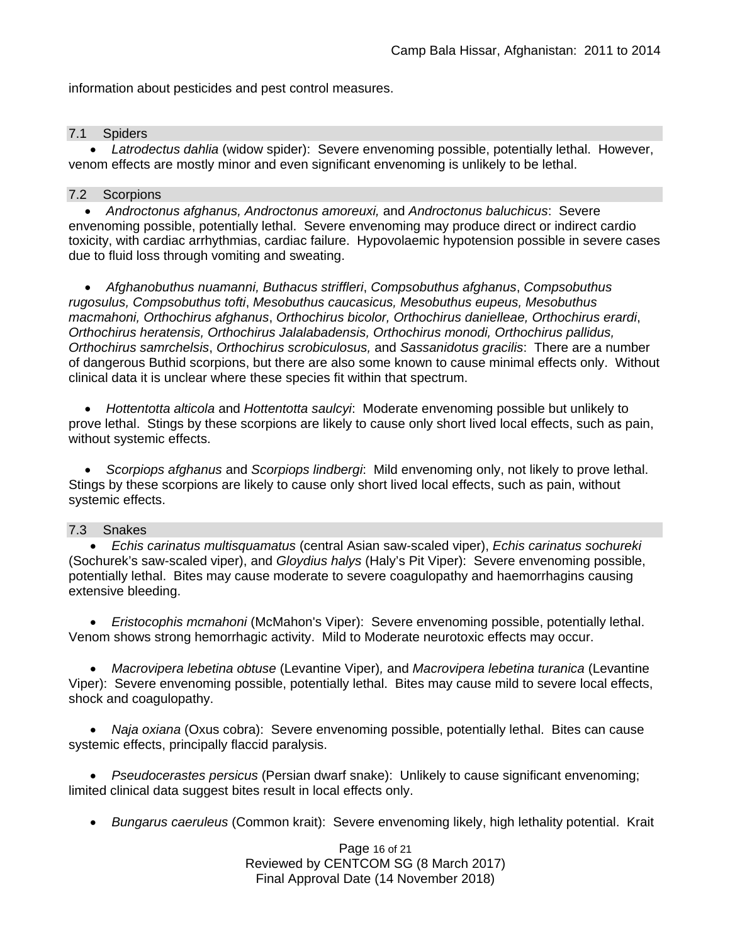information about pesticides and pest control measures.

7.1 Spiders

• *Latrodectus dahlia* (widow spider): Severe envenoming possible, potentially lethal. However, venom effects are mostly minor and even significant envenoming is unlikely to be lethal.

## 7.2 Scorpions

• *Androctonus afghanus, Androctonus amoreuxi,* and *Androctonus baluchicus*: Severe envenoming possible, potentially lethal. Severe envenoming may produce direct or indirect cardio toxicity, with cardiac arrhythmias, cardiac failure. Hypovolaemic hypotension possible in severe cases due to fluid loss through vomiting and sweating.

• *Afghanobuthus nuamanni, Buthacus striffleri*, *Compsobuthus afghanus*, *Compsobuthus rugosulus, Compsobuthus tofti*, *Mesobuthus caucasicus, Mesobuthus eupeus, Mesobuthus macmahoni, Orthochirus afghanus*, *Orthochirus bicolor, Orthochirus danielleae, Orthochirus erardi*, *Orthochirus heratensis, Orthochirus Jalalabadensis, Orthochirus monodi, Orthochirus pallidus, Orthochirus samrchelsis*, *Orthochirus scrobiculosus,* and *Sassanidotus gracilis*: There are a number of dangerous Buthid scorpions, but there are also some known to cause minimal effects only. Without clinical data it is unclear where these species fit within that spectrum.

• *Hottentotta alticola* and *Hottentotta saulcyi*: Moderate envenoming possible but unlikely to prove lethal. Stings by these scorpions are likely to cause only short lived local effects, such as pain, without systemic effects.

• *Scorpiops afghanus* and *Scorpiops lindbergi*: Mild envenoming only, not likely to prove lethal. Stings by these scorpions are likely to cause only short lived local effects, such as pain, without systemic effects.

### 7.3 Snakes

• *Echis carinatus multisquamatus* (central Asian saw-scaled viper), *Echis carinatus sochureki* (Sochurek's saw-scaled viper), and *Gloydius halys* (Haly's Pit Viper): Severe envenoming possible, potentially lethal. Bites may cause moderate to severe coagulopathy and haemorrhagins causing extensive bleeding.

• *Eristocophis mcmahoni* (McMahon's Viper): Severe envenoming possible, potentially lethal. Venom shows strong hemorrhagic activity. Mild to Moderate neurotoxic effects may occur.

• *Macrovipera lebetina obtuse* (Levantine Viper)*,* and *Macrovipera lebetina turanica* (Levantine Viper): Severe envenoming possible, potentially lethal. Bites may cause mild to severe local effects, shock and coagulopathy.

• *Naja oxiana* (Oxus cobra): Severe envenoming possible, potentially lethal. Bites can cause systemic effects, principally flaccid paralysis.

• *Pseudocerastes persicus* (Persian dwarf snake): Unlikely to cause significant envenoming; limited clinical data suggest bites result in local effects only.

• *Bungarus caeruleus* (Common krait): Severe envenoming likely, high lethality potential. Krait

Page 16 of 21 Reviewed by CENTCOM SG (8 March 2017) Final Approval Date (14 November 2018)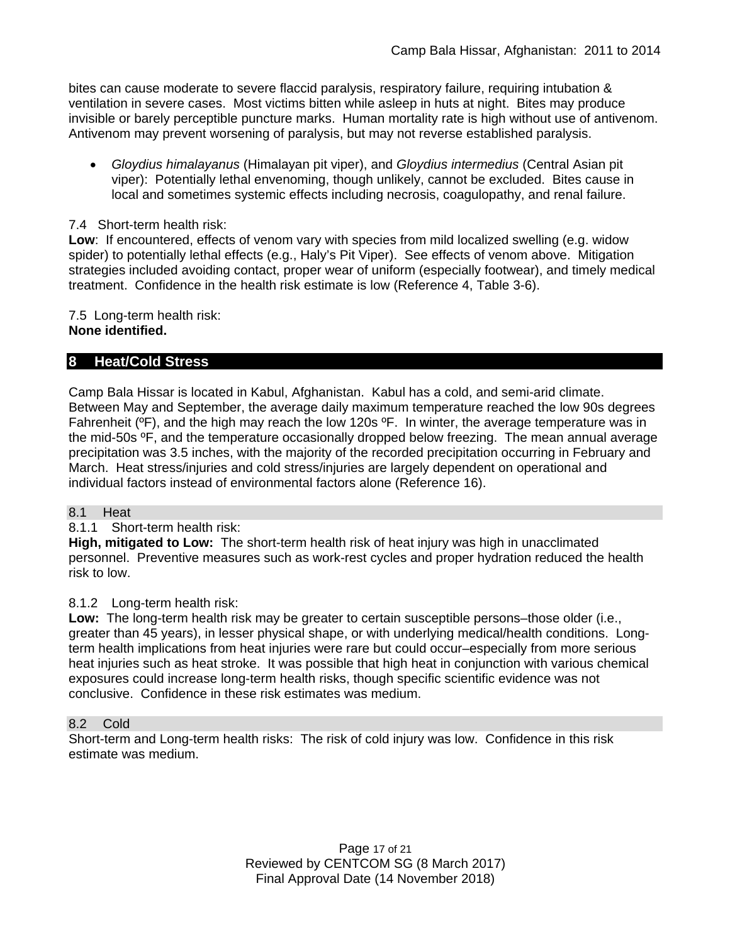bites can cause moderate to severe flaccid paralysis, respiratory failure, requiring intubation & ventilation in severe cases. Most victims bitten while asleep in huts at night. Bites may produce invisible or barely perceptible puncture marks. Human mortality rate is high without use of antivenom. Antivenom may prevent worsening of paralysis, but may not reverse established paralysis.

• *Gloydius himalayanus* (Himalayan pit viper), and *Gloydius intermedius* (Central Asian pit viper): Potentially lethal envenoming, though unlikely, cannot be excluded. Bites cause in local and sometimes systemic effects including necrosis, coagulopathy, and renal failure.

### 7.4 Short-term health risk:

**Low**: If encountered, effects of venom vary with species from mild localized swelling (e.g. widow spider) to potentially lethal effects (e.g., Haly's Pit Viper). See effects of venom above. Mitigation strategies included avoiding contact, proper wear of uniform (especially footwear), and timely medical treatment. Confidence in the health risk estimate is low (Reference 4, Table 3-6).

#### 7.5 Long-term health risk: **None identified.**

# **8 Heat/Cold Stress**

Camp Bala Hissar is located in Kabul, Afghanistan. Kabul has a cold, and semi-arid climate. Between May and September, the average daily maximum temperature reached the low 90s degrees Fahrenheit (°F), and the high may reach the low 120s °F. In winter, the average temperature was in the mid-50s ºF, and the temperature occasionally dropped below freezing. The mean annual average precipitation was 3.5 inches, with the majority of the recorded precipitation occurring in February and March. Heat stress/injuries and cold stress/injuries are largely dependent on operational and individual factors instead of environmental factors alone (Reference 16).

### 8.1 Heat

### 8.1.1 Short-term health risk:

**High, mitigated to Low:** The short-term health risk of heat injury was high in unacclimated personnel. Preventive measures such as work-rest cycles and proper hydration reduced the health risk to low.

### 8.1.2 Long-term health risk:

**Low:** The long-term health risk may be greater to certain susceptible persons–those older (i.e., greater than 45 years), in lesser physical shape, or with underlying medical/health conditions. Longterm health implications from heat injuries were rare but could occur–especially from more serious heat injuries such as heat stroke.It was possible that high heat in conjunction with various chemical exposures could increase long-term health risks, though specific scientific evidence was not conclusive. Confidence in these risk estimates was medium.

### 8.2 Cold

Short-term and Long-term health risks: The risk of cold injury was low. Confidence in this risk estimate was medium.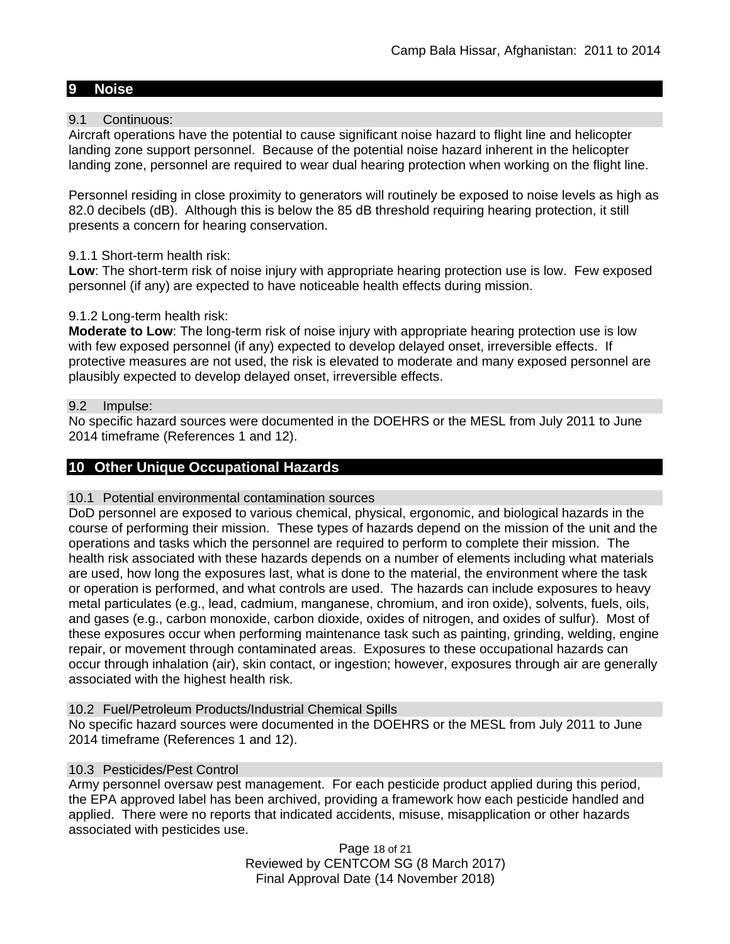### **9 Noise**

#### 9.1 Continuous:

Aircraft operations have the potential to cause significant noise hazard to flight line and helicopter landing zone support personnel. Because of the potential noise hazard inherent in the helicopter landing zone, personnel are required to wear dual hearing protection when working on the flight line.

Personnel residing in close proximity to generators will routinely be exposed to noise levels as high as 82.0 decibels (dB). Although this is below the 85 dB threshold requiring hearing protection, it still presents a concern for hearing conservation.

#### 9.1.1 Short-term health risk:

**Low**: The short-term risk of noise injury with appropriate hearing protection use is low. Few exposed personnel (if any) are expected to have noticeable health effects during mission.

#### 9.1.2 Long-term health risk:

**Moderate to Low**: The long-term risk of noise injury with appropriate hearing protection use is low with few exposed personnel (if any) expected to develop delayed onset, irreversible effects. If protective measures are not used, the risk is elevated to moderate and many exposed personnel are plausibly expected to develop delayed onset, irreversible effects.

#### 9.2 Impulse:

No specific hazard sources were documented in the DOEHRS or the MESL from July 2011 to June 2014 timeframe (References 1 and 12).

## **10 Other Unique Occupational Hazards**

#### 10.1 Potential environmental contamination sources

DoD personnel are exposed to various chemical, physical, ergonomic, and biological hazards in the course of performing their mission. These types of hazards depend on the mission of the unit and the operations and tasks which the personnel are required to perform to complete their mission. The health risk associated with these hazards depends on a number of elements including what materials are used, how long the exposures last, what is done to the material, the environment where the task or operation is performed, and what controls are used. The hazards can include exposures to heavy metal particulates (e.g., lead, cadmium, manganese, chromium, and iron oxide), solvents, fuels, oils, and gases (e.g., carbon monoxide, carbon dioxide, oxides of nitrogen, and oxides of sulfur). Most of these exposures occur when performing maintenance task such as painting, grinding, welding, engine repair, or movement through contaminated areas. Exposures to these occupational hazards can occur through inhalation (air), skin contact, or ingestion; however, exposures through air are generally associated with the highest health risk.

#### 10.2 Fuel/Petroleum Products/Industrial Chemical Spills

No specific hazard sources were documented in the DOEHRS or the MESL from July 2011 to June 2014 timeframe (References 1 and 12).

### 10.3 Pesticides/Pest Control

Army personnel oversaw pest management. For each pesticide product applied during this period, the EPA approved label has been archived, providing a framework how each pesticide handled and applied. There were no reports that indicated accidents, misuse, misapplication or other hazards associated with pesticides use.

> Page 18 of 21 Reviewed by CENTCOM SG (8 March 2017) Final Approval Date (14 November 2018)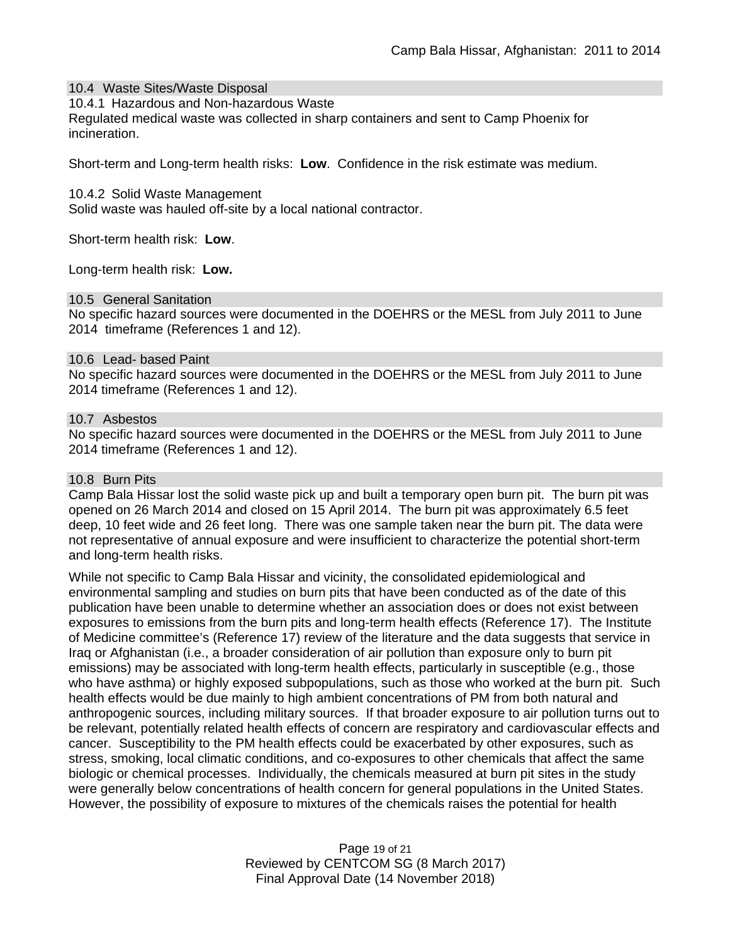#### 10.4 Waste Sites/Waste Disposal

#### 10.4.1 Hazardous and Non-hazardous Waste

Regulated medical waste was collected in sharp containers and sent to Camp Phoenix for incineration.

Short-term and Long-term health risks: **Low**. Confidence in the risk estimate was medium.

10.4.2 Solid Waste Management Solid waste was hauled off-site by a local national contractor.

Short-term health risk: **Low**.

Long-term health risk: **Low.**

#### 10.5 General Sanitation

No specific hazard sources were documented in the DOEHRS or the MESL from July 2011 to June 2014 timeframe (References 1 and 12).

#### 10.6 Lead- based Paint

No specific hazard sources were documented in the DOEHRS or the MESL from July 2011 to June 2014 timeframe (References 1 and 12).

#### 10.7 Asbestos

No specific hazard sources were documented in the DOEHRS or the MESL from July 2011 to June 2014 timeframe (References 1 and 12).

#### 10.8 Burn Pits

Camp Bala Hissar lost the solid waste pick up and built a temporary open burn pit. The burn pit was opened on 26 March 2014 and closed on 15 April 2014. The burn pit was approximately 6.5 feet deep, 10 feet wide and 26 feet long. There was one sample taken near the burn pit. The data were not representative of annual exposure and were insufficient to characterize the potential short-term and long-term health risks.

While not specific to Camp Bala Hissar and vicinity, the consolidated epidemiological and environmental sampling and studies on burn pits that have been conducted as of the date of this publication have been unable to determine whether an association does or does not exist between exposures to emissions from the burn pits and long-term health effects (Reference 17). The Institute of Medicine committee's (Reference 17) review of the literature and the data suggests that service in Iraq or Afghanistan (i.e., a broader consideration of air pollution than exposure only to burn pit emissions) may be associated with long-term health effects, particularly in susceptible (e.g., those who have asthma) or highly exposed subpopulations, such as those who worked at the burn pit. Such health effects would be due mainly to high ambient concentrations of PM from both natural and anthropogenic sources, including military sources. If that broader exposure to air pollution turns out to be relevant, potentially related health effects of concern are respiratory and cardiovascular effects and cancer. Susceptibility to the PM health effects could be exacerbated by other exposures, such as stress, smoking, local climatic conditions, and co-exposures to other chemicals that affect the same biologic or chemical processes. Individually, the chemicals measured at burn pit sites in the study were generally below concentrations of health concern for general populations in the United States. However, the possibility of exposure to mixtures of the chemicals raises the potential for health

> Page 19 of 21 Reviewed by CENTCOM SG (8 March 2017) Final Approval Date (14 November 2018)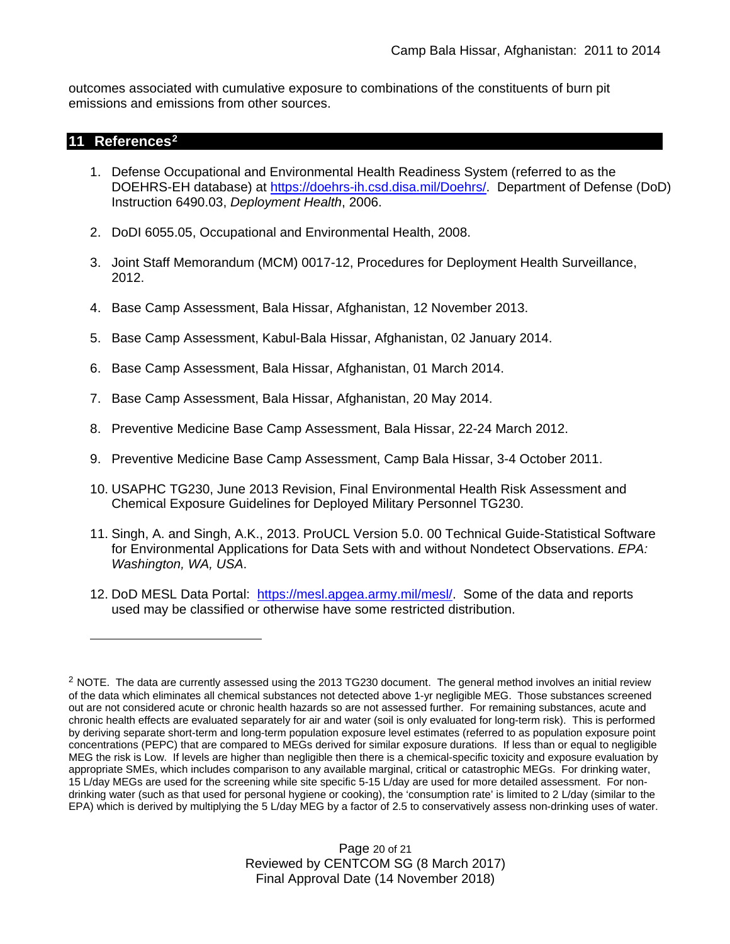outcomes associated with cumulative exposure to combinations of the constituents of burn pit emissions and emissions from other sources.

## **11 References[2](#page-19-0)**

 $\overline{a}$ 

- 1. Defense Occupational and Environmental Health Readiness System (referred to as the DOEHRS-EH database) at [https://doehrs-ih.csd.disa.mil/Doehrs/.](https://doehrs-ih.csd.disa.mil/Doehrs/)Department of Defense (DoD) Instruction 6490.03, *Deployment Health*, 2006.
- 2. DoDI 6055.05, Occupational and Environmental Health, 2008.
- 3. Joint Staff Memorandum (MCM) 0017-12, Procedures for Deployment Health Surveillance, 2012.
- 4. Base Camp Assessment, Bala Hissar, Afghanistan, 12 November 2013.
- 5. Base Camp Assessment, Kabul-Bala Hissar, Afghanistan, 02 January 2014.
- 6. Base Camp Assessment, Bala Hissar, Afghanistan, 01 March 2014.
- 7. Base Camp Assessment, Bala Hissar, Afghanistan, 20 May 2014.
- 8. Preventive Medicine Base Camp Assessment, Bala Hissar, 22-24 March 2012.
- 9. Preventive Medicine Base Camp Assessment, Camp Bala Hissar, 3-4 October 2011.
- 10. USAPHC TG230, June 2013 Revision, Final Environmental Health Risk Assessment and Chemical Exposure Guidelines for Deployed Military Personnel TG230.
- 11. Singh, A. and Singh, A.K., 2013. ProUCL Version 5.0. 00 Technical Guide-Statistical Software for Environmental Applications for Data Sets with and without Nondetect Observations. *EPA: Washington, WA, USA*.
- 12. DoD MESL Data Portal: [https://mesl.apgea.army.mil/mesl/.](https://mesl.apgea.army.mil/mesl/) Some of the data and reports used may be classified or otherwise have some restricted distribution.

Page 20 of 21 Reviewed by CENTCOM SG (8 March 2017) Final Approval Date (14 November 2018)

<span id="page-19-0"></span><sup>&</sup>lt;sup>2</sup> NOTE. The data are currently assessed using the 2013 TG230 document. The general method involves an initial review of the data which eliminates all chemical substances not detected above 1-yr negligible MEG. Those substances screened out are not considered acute or chronic health hazards so are not assessed further. For remaining substances, acute and chronic health effects are evaluated separately for air and water (soil is only evaluated for long-term risk). This is performed by deriving separate short-term and long-term population exposure level estimates (referred to as population exposure point concentrations (PEPC) that are compared to MEGs derived for similar exposure durations. If less than or equal to negligible MEG the risk is Low. If levels are higher than negligible then there is a chemical-specific toxicity and exposure evaluation by appropriate SMEs, which includes comparison to any available marginal, critical or catastrophic MEGs. For drinking water, 15 L/day MEGs are used for the screening while site specific 5-15 L/day are used for more detailed assessment. For nondrinking water (such as that used for personal hygiene or cooking), the 'consumption rate' is limited to 2 L/day (similar to the EPA) which is derived by multiplying the 5 L/day MEG by a factor of 2.5 to conservatively assess non-drinking uses of water.